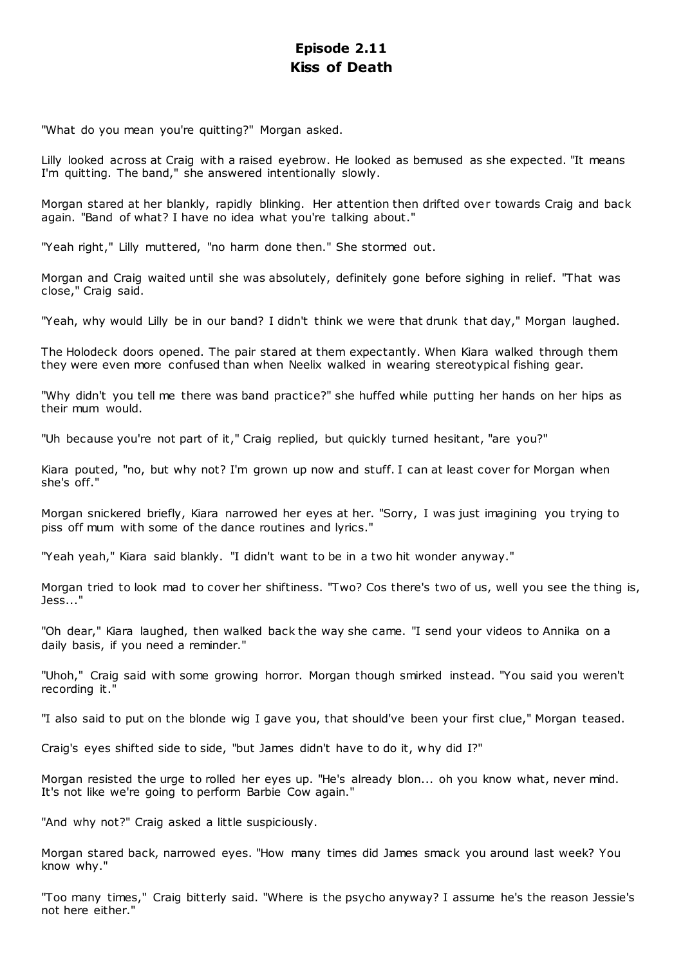# **Episode 2.11 Kiss of Death**

"What do you mean you're quitting?" Morgan asked.

Lilly looked across at Craig with a raised eyebrow. He looked as bemused as she expected. "It means I'm quitting. The band," she answered intentionally slowly.

Morgan stared at her blankly, rapidly blinking. Her attention then drifted over towards Craig and back again. "Band of what? I have no idea what you're talking about."

"Yeah right," Lilly muttered, "no harm done then." She stormed out.

Morgan and Craig waited until she was absolutely, definitely gone before sighing in relief. "That was close," Craig said.

"Yeah, why would Lilly be in our band? I didn't think we were that drunk that day," Morgan laughed.

The Holodeck doors opened. The pair stared at them expectantly. When Kiara walked through them they were even more confused than when Neelix walked in wearing stereotypical fishing gear.

"Why didn't you tell me there was band practice?" she huffed while putting her hands on her hips as their mum would.

"Uh because you're not part of it," Craig replied, but quickly turned hesitant, "are you?"

Kiara pouted, "no, but why not? I'm grown up now and stuff. I can at least cover for Morgan when she's off."

Morgan snickered briefly, Kiara narrowed her eyes at her. "Sorry, I was just imagining you trying to piss off mum with some of the dance routines and lyrics."

"Yeah yeah," Kiara said blankly. "I didn't want to be in a two hit wonder anyway."

Morgan tried to look mad to cover her shiftiness. "Two? Cos there's two of us, well you see the thing is, Jess..."

"Oh dear," Kiara laughed, then walked back the way she came. "I send your videos to Annika on a daily basis, if you need a reminder."

"Uhoh," Craig said with some growing horror. Morgan though smirked instead. "You said you weren't recording it."

"I also said to put on the blonde wig I gave you, that should've been your first clue," Morgan teased.

Craig's eyes shifted side to side, "but James didn't have to do it, why did I?"

Morgan resisted the urge to rolled her eyes up. "He's already blon... oh you know what, never mind. It's not like we're going to perform Barbie Cow again."

"And why not?" Craig asked a little suspiciously.

Morgan stared back, narrowed eyes. "How many times did James smack you around last week? You know why."

"Too many times," Craig bitterly said. "Where is the psycho anyway? I assume he's the reason Jessie's not here either."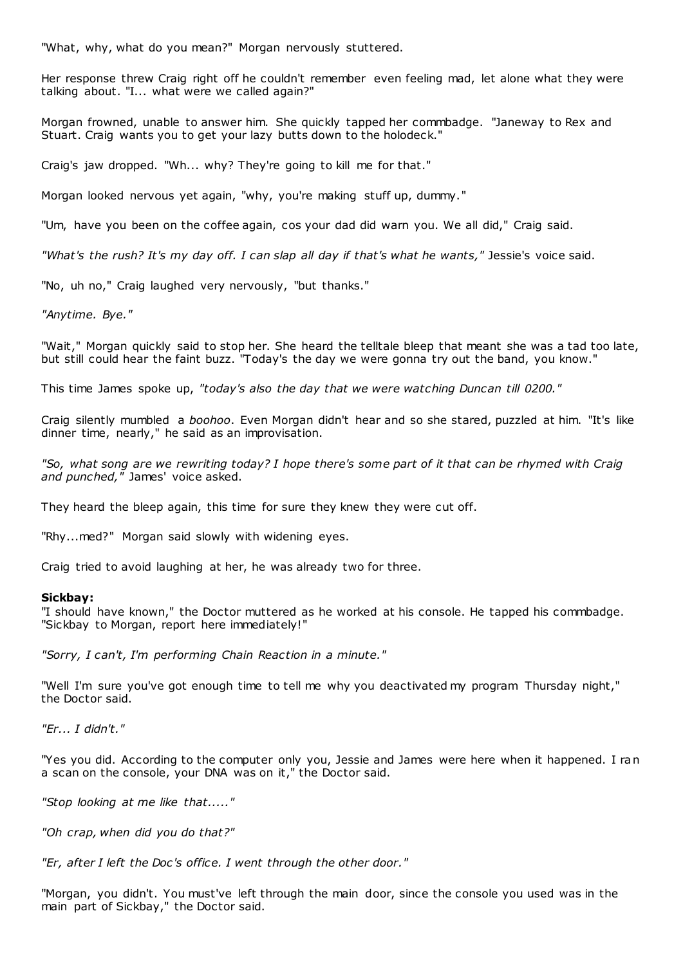"What, why, what do you mean?" Morgan nervously stuttered.

Her response threw Craig right off he couldn't remember even feeling mad, let alone what they were talking about. "I... what were we called again?"

Morgan frowned, unable to answer him. She quickly tapped her commbadge. "Janeway to Rex and Stuart. Craig wants you to get your lazy butts down to the holodeck."

Craig's jaw dropped. "Wh... why? They're going to kill me for that."

Morgan looked nervous yet again, "why, you're making stuff up, dummy."

"Um, have you been on the coffee again, cos your dad did warn you. We all did," Craig said.

*"What's the rush? It's my day off. I can slap all day if that's what he wants,"* Jessie's voice said.

"No, uh no," Craig laughed very nervously, "but thanks."

*"Anytime. Bye."*

"Wait," Morgan quickly said to stop her. She heard the telltale bleep that meant she was a tad too late, but still could hear the faint buzz. "Today's the day we were gonna try out the band, you know."

This time James spoke up, *"today's also the day that we were watching Duncan till 0200."*

Craig silently mumbled a *boohoo*. Even Morgan didn't hear and so she stared, puzzled at him. "It's like dinner time, nearly," he said as an improvisation.

*"So, what song are we rewriting today? I hope there's some part of it that can be rhymed with Craig and punched,"* James' voice asked.

They heard the bleep again, this time for sure they knew they were cut off.

"Rhy...med?" Morgan said slowly with widening eyes.

Craig tried to avoid laughing at her, he was already two for three.

# **Sickbay:**

"I should have known," the Doctor muttered as he worked at his console. He tapped his commbadge. "Sickbay to Morgan, report here immediately!"

*"Sorry, I can't, I'm performing Chain Reaction in a minute."*

"Well I'm sure you've got enough time to tell me why you deactivated my program Thursday night," the Doctor said.

*"Er... I didn't."*

"Yes you did. According to the computer only you, Jessie and James were here when it happened. I ran a scan on the console, your DNA was on it," the Doctor said.

*"Stop looking at me like that....."*

*"Oh crap, when did you do that?"*

*"Er, after I left the Doc's office. I went through the other door."*

"Morgan, you didn't. You must've left through the main door, since the console you used was in the main part of Sickbay," the Doctor said.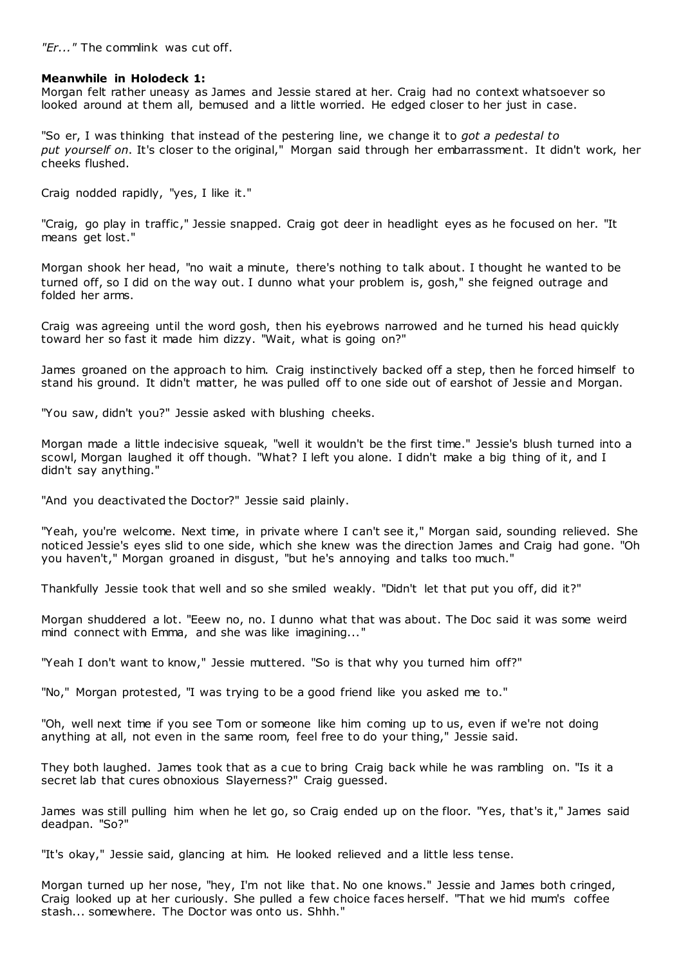*"Er..."* The commlink was cut off.

# **Meanwhile in Holodeck 1:**

Morgan felt rather uneasy as James and Jessie stared at her. Craig had no context whatsoever so looked around at them all, bemused and a little worried. He edged closer to her just in case.

"So er, I was thinking that instead of the pestering line, we change it to *got a pedestal to put yourself on*. It's closer to the original," Morgan said through her embarrassment. It didn't work, her cheeks flushed.

Craig nodded rapidly, "yes, I like it."

"Craig, go play in traffic ," Jessie snapped. Craig got deer in headlight eyes as he focused on her. "It means get lost."

Morgan shook her head, "no wait a minute, there's nothing to talk about. I thought he wanted to be turned off, so I did on the way out. I dunno what your problem is, gosh," she feigned outrage and folded her arms.

Craig was agreeing until the word gosh, then his eyebrows narrowed and he turned his head quickly toward her so fast it made him dizzy. "Wait, what is going on?"

James groaned on the approach to him. Craig instinctively backed off a step, then he forced himself to stand his ground. It didn't matter, he was pulled off to one side out of earshot of Jessie and Morgan.

"You saw, didn't you?" Jessie asked with blushing cheeks.

Morgan made a little indecisive squeak, "well it wouldn't be the first time." Jessie's blush turned into a scowl, Morgan laughed it off though. "What? I left you alone. I didn't make a big thing of it, and I didn't say anything."

"And you deactivated the Doctor?" Jessie said plainly.

"Yeah, you're welcome. Next time, in private where I can't see it," Morgan said, sounding relieved. She noticed Jessie's eyes slid to one side, which she knew was the direction James and Craig had gone. "Oh you haven't," Morgan groaned in disgust, "but he's annoying and talks too much."

Thankfully Jessie took that well and so she smiled weakly. "Didn't let that put you off, did it?"

Morgan shuddered a lot. "Eeew no, no. I dunno what that was about. The Doc said it was some weird mind connect with Emma, and she was like imagining..."

"Yeah I don't want to know," Jessie muttered. "So is that why you turned him off?"

"No," Morgan protested, "I was trying to be a good friend like you asked me to."

"Oh, well next time if you see Tom or someone like him coming up to us, even if we're not doing anything at all, not even in the same room, feel free to do your thing," Jessie said.

They both laughed. James took that as a cue to bring Craig back while he was rambling on. "Is it a secret lab that cures obnoxious Slayerness?" Craig guessed.

James was still pulling him when he let go, so Craig ended up on the floor. "Yes, that's it," James said deadpan. "So?"

"It's okay," Jessie said, glancing at him. He looked relieved and a little less tense.

Morgan turned up her nose, "hey, I'm not like that. No one knows." Jessie and James both cringed, Craig looked up at her curiously. She pulled a few choice faces herself. "That we hid mum's coffee stash... somewhere. The Doctor was onto us. Shhh."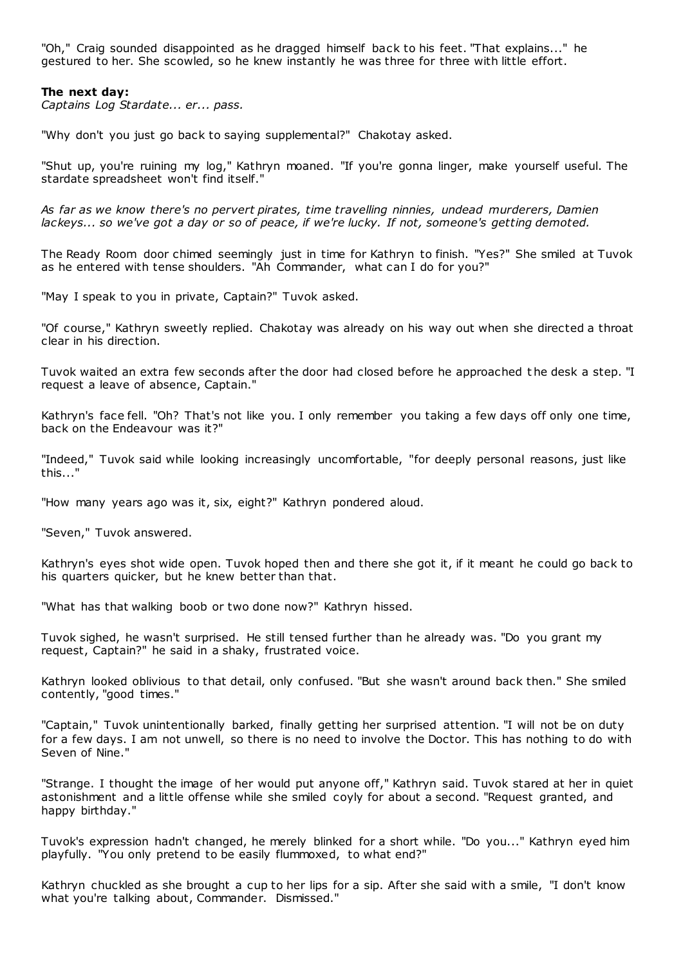"Oh," Craig sounded disappointed as he dragged himself back to his feet. "That explains..." he gestured to her. She scowled, so he knew instantly he was three for three with little effort.

## **The next day:**

*Captains Log Stardate... er... pass.*

"Why don't you just go back to saying supplemental?" Chakotay asked.

"Shut up, you're ruining my log," Kathryn moaned. "If you're gonna linger, make yourself useful. The stardate spreadsheet won't find itself."

*As far as we know there's no pervert pirates, time travelling ninnies, undead murderers, Damien lackeys... so we've got a day or so of peace, if we're lucky. If not, someone's getting demoted.*

The Ready Room door chimed seemingly just in time for Kathryn to finish. "Yes?" She smiled at Tuvok as he entered with tense shoulders. "Ah Commander, what can I do for you?"

"May I speak to you in private, Captain?" Tuvok asked.

"Of course," Kathryn sweetly replied. Chakotay was already on his way out when she directed a throat clear in his direction.

Tuvok waited an extra few seconds after the door had closed before he approached t he desk a step. "I request a leave of absence, Captain."

Kathryn's face fell. "Oh? That's not like you. I only remember you taking a few days off only one time, back on the Endeavour was it?"

"Indeed," Tuvok said while looking increasingly uncomfortable, "for deeply personal reasons, just like this..."

"How many years ago was it, six, eight?" Kathryn pondered aloud.

"Seven," Tuvok answered.

Kathryn's eyes shot wide open. Tuvok hoped then and there she got it, if it meant he could go back to his quarters quicker, but he knew better than that.

"What has that walking boob or two done now?" Kathryn hissed.

Tuvok sighed, he wasn't surprised. He still tensed further than he already was. "Do you grant my request, Captain?" he said in a shaky, frustrated voice.

Kathryn looked oblivious to that detail, only confused. "But she wasn't around back then." She smiled contently, "good times."

"Captain," Tuvok unintentionally barked, finally getting her surprised attention. "I will not be on duty for a few days. I am not unwell, so there is no need to involve the Doctor. This has nothing to do with Seven of Nine."

"Strange. I thought the image of her would put anyone off," Kathryn said. Tuvok stared at her in quiet astonishment and a little offense while she smiled coyly for about a second. "Request granted, and happy birthday."

Tuvok's expression hadn't changed, he merely blinked for a short while. "Do you..." Kathryn eyed him playfully. "You only pretend to be easily flummoxed, to what end?"

Kathryn chuckled as she brought a cup to her lips for a sip. After she said with a smile, "I don't know what you're talking about, Commander. Dismissed."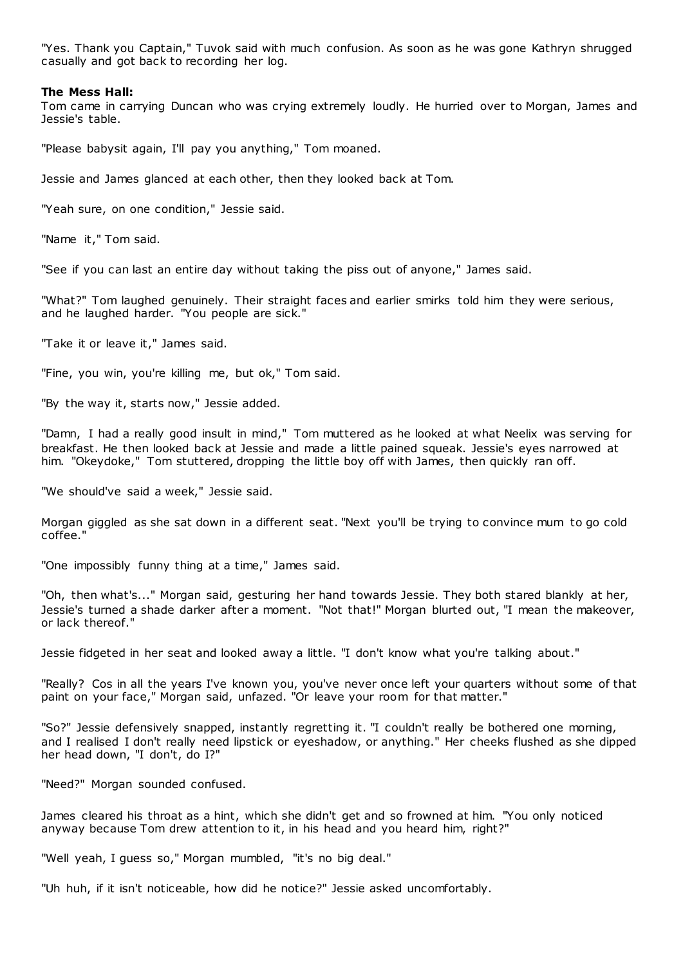"Yes. Thank you Captain," Tuvok said with much confusion. As soon as he was gone Kathryn shrugged casually and got back to recording her log.

# **The Mess Hall:**

Tom came in carrying Duncan who was crying extremely loudly. He hurried over to Morgan, James and Jessie's table.

"Please babysit again, I'll pay you anything," Tom moaned.

Jessie and James glanced at each other, then they looked back at Tom.

"Yeah sure, on one condition," Jessie said.

"Name it," Tom said.

"See if you can last an entire day without taking the piss out of anyone," James said.

"What?" Tom laughed genuinely. Their straight faces and earlier smirks told him they were serious, and he laughed harder. "You people are sick."

"Take it or leave it," James said.

"Fine, you win, you're killing me, but ok," Tom said.

"By the way it, starts now," Jessie added.

"Damn, I had a really good insult in mind," Tom muttered as he looked at what Neelix was serving for breakfast. He then looked back at Jessie and made a little pained squeak. Jessie's eyes narrowed at him. "Okeydoke," Tom stuttered, dropping the little boy off with James, then quickly ran off.

"We should've said a week," Jessie said.

Morgan giggled as she sat down in a different seat. "Next you'll be trying to convince mum to go cold coffee."

"One impossibly funny thing at a time," James said.

"Oh, then what's..." Morgan said, gesturing her hand towards Jessie. They both stared blankly at her, Jessie's turned a shade darker after a moment. "Not that!" Morgan blurted out, "I mean the makeover, or lack thereof."

Jessie fidgeted in her seat and looked away a little. "I don't know what you're talking about."

"Really? Cos in all the years I've known you, you've never once left your quarters without some of that paint on your face," Morgan said, unfazed. "Or leave your room for that matter."

"So?" Jessie defensively snapped, instantly regretting it. "I couldn't really be bothered one morning, and I realised I don't really need lipstick or eyeshadow, or anything." Her cheeks flushed as she dipped her head down, "I don't, do I?"

"Need?" Morgan sounded confused.

James cleared his throat as a hint, which she didn't get and so frowned at him. "You only noticed anyway because Tom drew attention to it, in his head and you heard him, right?"

"Well yeah, I guess so," Morgan mumbled, "it's no big deal."

"Uh huh, if it isn't noticeable, how did he notice?" Jessie asked uncomfortably.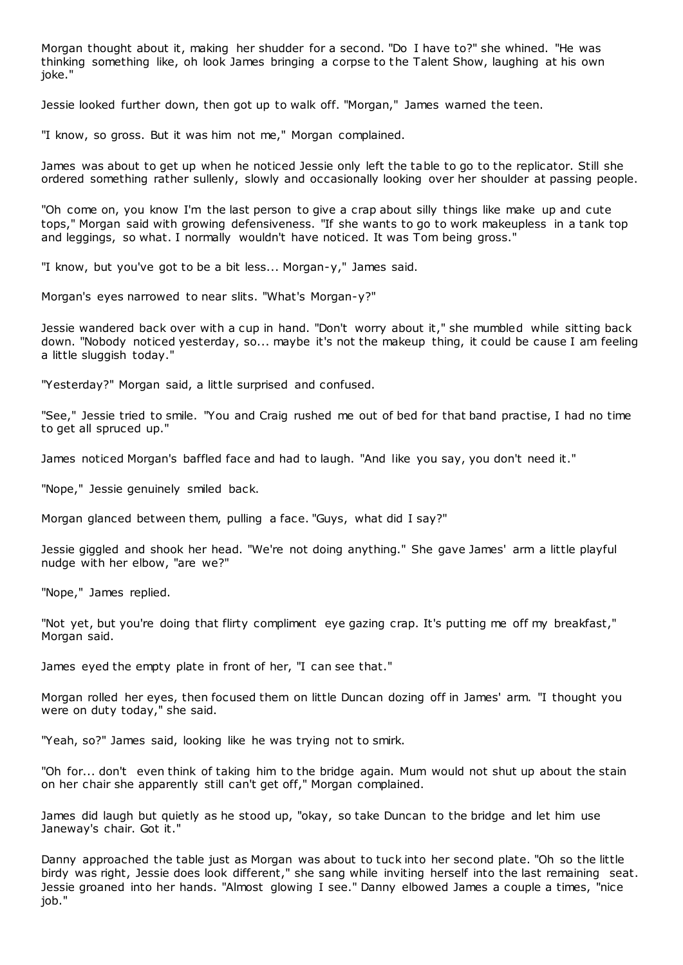Morgan thought about it, making her shudder for a second. "Do I have to?" she whined. "He was thinking something like, oh look James bringing a corpse to the Talent Show, laughing at his own joke."

Jessie looked further down, then got up to walk off. "Morgan," James warned the teen.

"I know, so gross. But it was him not me," Morgan complained.

James was about to get up when he noticed Jessie only left the table to go to the replicator. Still she ordered something rather sullenly, slowly and occasionally looking over her shoulder at passing people.

"Oh come on, you know I'm the last person to give a crap about silly things like make up and cute tops," Morgan said with growing defensiveness. "If she wants to go to work makeupless in a tank top and leggings, so what. I normally wouldn't have noticed. It was Tom being gross."

"I know, but you've got to be a bit less... Morgan-y," James said.

Morgan's eyes narrowed to near slits. "What's Morgan-y?"

Jessie wandered back over with a cup in hand. "Don't worry about it," she mumbled while sitting back down. "Nobody noticed yesterday, so... maybe it's not the makeup thing, it could be cause I am feeling a little sluggish today."

"Yesterday?" Morgan said, a little surprised and confused.

"See," Jessie tried to smile. "You and Craig rushed me out of bed for that band practise, I had no time to get all spruced up."

James noticed Morgan's baffled face and had to laugh. "And like you say, you don't need it."

"Nope," Jessie genuinely smiled back.

Morgan glanced between them, pulling a face. "Guys, what did I say?"

Jessie giggled and shook her head. "We're not doing anything." She gave James' arm a little playful nudge with her elbow, "are we?"

"Nope," James replied.

"Not yet, but you're doing that flirty compliment eye gazing crap. It's putting me off my breakfast," Morgan said.

James eyed the empty plate in front of her, "I can see that."

Morgan rolled her eyes, then focused them on little Duncan dozing off in James' arm. "I thought you were on duty today," she said.

"Yeah, so?" James said, looking like he was trying not to smirk.

"Oh for... don't even think of taking him to the bridge again. Mum would not shut up about the stain on her chair she apparently still can't get off," Morgan complained.

James did laugh but quietly as he stood up, "okay, so take Duncan to the bridge and let him use Janeway's chair. Got it."

Danny approached the table just as Morgan was about to tuck into her second plate. "Oh so the little birdy was right, Jessie does look different," she sang while inviting herself into the last remaining seat. Jessie groaned into her hands. "Almost glowing I see." Danny elbowed James a couple a times, "nice job."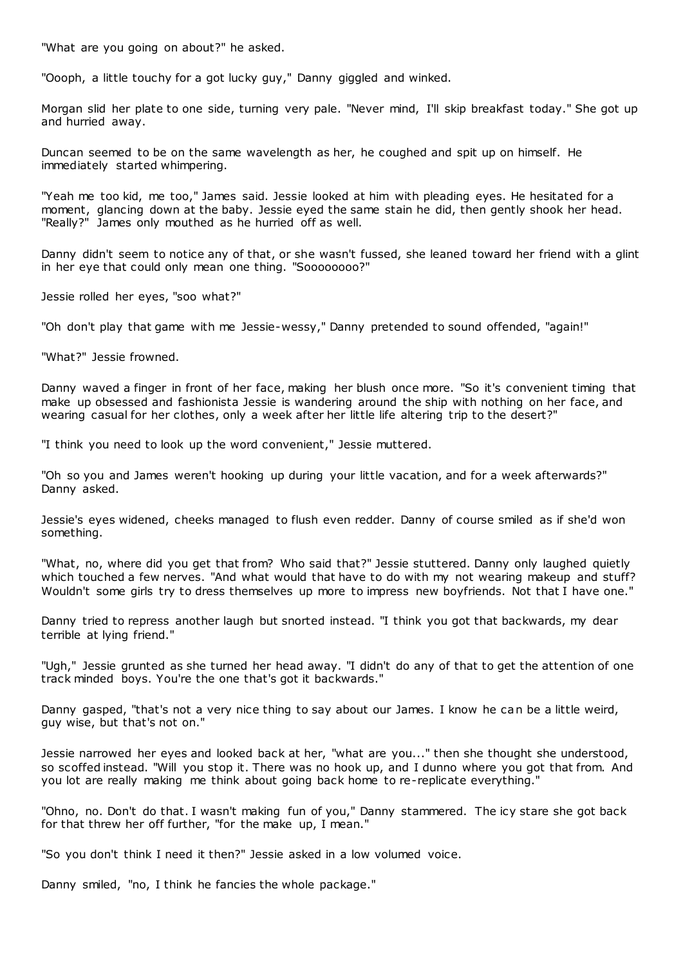"What are you going on about?" he asked.

"Oooph, a little touchy for a got lucky guy," Danny giggled and winked.

Morgan slid her plate to one side, turning very pale. "Never mind, I'll skip breakfast today." She got up and hurried away.

Duncan seemed to be on the same wavelength as her, he coughed and spit up on himself. He immediately started whimpering.

"Yeah me too kid, me too," James said. Jessie looked at him with pleading eyes. He hesitated for a moment, glancing down at the baby. Jessie eyed the same stain he did, then gently shook her head. "Really?" James only mouthed as he hurried off as well.

Danny didn't seem to notice any of that, or she wasn't fussed, she leaned toward her friend with a glint in her eye that could only mean one thing. "Soooooooo?"

Jessie rolled her eyes, "soo what?"

"Oh don't play that game with me Jessie-wessy," Danny pretended to sound offended, "again!"

"What?" Jessie frowned.

Danny waved a finger in front of her face, making her blush once more. "So it's convenient timing that make up obsessed and fashionista Jessie is wandering around the ship with nothing on her face, and wearing casual for her clothes, only a week after her little life altering trip to the desert?"

"I think you need to look up the word convenient," Jessie muttered.

"Oh so you and James weren't hooking up during your little vacation, and for a week afterwards?" Danny asked.

Jessie's eyes widened, cheeks managed to flush even redder. Danny of course smiled as if she'd won something.

"What, no, where did you get that from? Who said that?" Jessie stuttered. Danny only laughed quietly which touched a few nerves. "And what would that have to do with my not wearing makeup and stuff? Wouldn't some girls try to dress themselves up more to impress new boyfriends. Not that I have one."

Danny tried to repress another laugh but snorted instead. "I think you got that backwards, my dear terrible at lying friend."

"Ugh," Jessie grunted as she turned her head away. "I didn't do any of that to get the attention of one track minded boys. You're the one that's got it backwards."

Danny gasped, "that's not a very nice thing to say about our James. I know he can be a little weird, guy wise, but that's not on."

Jessie narrowed her eyes and looked back at her, "what are you..." then she thought she understood, so scoffed instead. "Will you stop it. There was no hook up, and I dunno where you got that from. And you lot are really making me think about going back home to re-replicate everything."

"Ohno, no. Don't do that. I wasn't making fun of you," Danny stammered. The icy stare she got back for that threw her off further, "for the make up, I mean."

"So you don't think I need it then?" Jessie asked in a low volumed voice.

Danny smiled, "no, I think he fancies the whole package."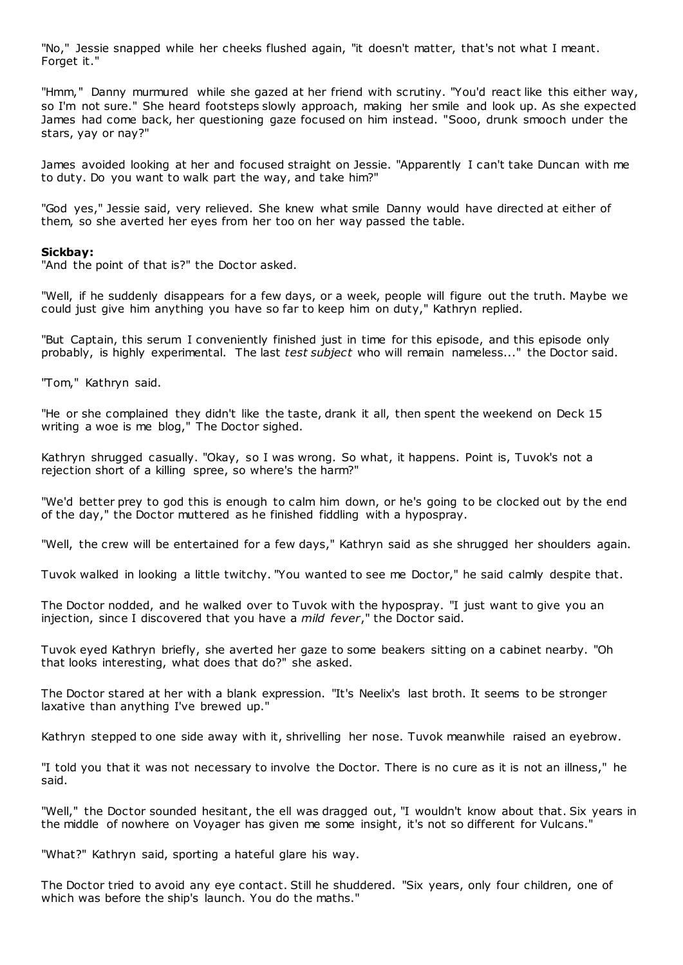"No," Jessie snapped while her cheeks flushed again, "it doesn't matter, that's not what I meant. Forget it."

"Hmm," Danny murmured while she gazed at her friend with scrutiny. "You'd react like this either way, so I'm not sure." She heard footsteps slowly approach, making her smile and look up. As she expected James had come back, her questioning gaze focused on him instead. "Sooo, drunk smooch under the stars, yay or nay?"

James avoided looking at her and focused straight on Jessie. "Apparently I can't take Duncan with me to duty. Do you want to walk part the way, and take him?"

"God yes," Jessie said, very relieved. She knew what smile Danny would have directed at either of them, so she averted her eyes from her too on her way passed the table.

# **Sickbay:**

"And the point of that is?" the Doctor asked.

"Well, if he suddenly disappears for a few days, or a week, people will figure out the truth. Maybe we could just give him anything you have so far to keep him on duty," Kathryn replied.

"But Captain, this serum I conveniently finished just in time for this episode, and this episode only probably, is highly experimental. The last *test subject* who will remain nameless..." the Doctor said.

"Tom," Kathryn said.

"He or she complained they didn't like the taste, drank it all, then spent the weekend on Deck 15 writing a woe is me blog," The Doctor sighed.

Kathryn shrugged casually. "Okay, so I was wrong. So what, it happens. Point is, Tuvok's not a rejection short of a killing spree, so where's the harm?"

"We'd better prey to god this is enough to calm him down, or he's going to be clocked out by the end of the day," the Doctor muttered as he finished fiddling with a hypospray.

"Well, the crew will be entertained for a few days," Kathryn said as she shrugged her shoulders again.

Tuvok walked in looking a little twitchy. "You wanted to see me Doctor," he said calmly despite that.

The Doctor nodded, and he walked over to Tuvok with the hypospray. "I just want to give you an injection, since I discovered that you have a *mild fever*," the Doctor said.

Tuvok eyed Kathryn briefly, she averted her gaze to some beakers sitting on a cabinet nearby. "Oh that looks interesting, what does that do?" she asked.

The Doctor stared at her with a blank expression. "It's Neelix's last broth. It seems to be stronger laxative than anything I've brewed up."

Kathryn stepped to one side away with it, shrivelling her nose. Tuvok meanwhile raised an eyebrow.

"I told you that it was not necessary to involve the Doctor. There is no cure as it is not an illness," he said.

"Well," the Doctor sounded hesitant, the ell was dragged out, "I wouldn't know about that. Six years in the middle of nowhere on Voyager has given me some insight, it's not so different for Vulcans."

"What?" Kathryn said, sporting a hateful glare his way.

The Doctor tried to avoid any eye contact. Still he shuddered. "Six years, only four children, one of which was before the ship's launch. You do the maths."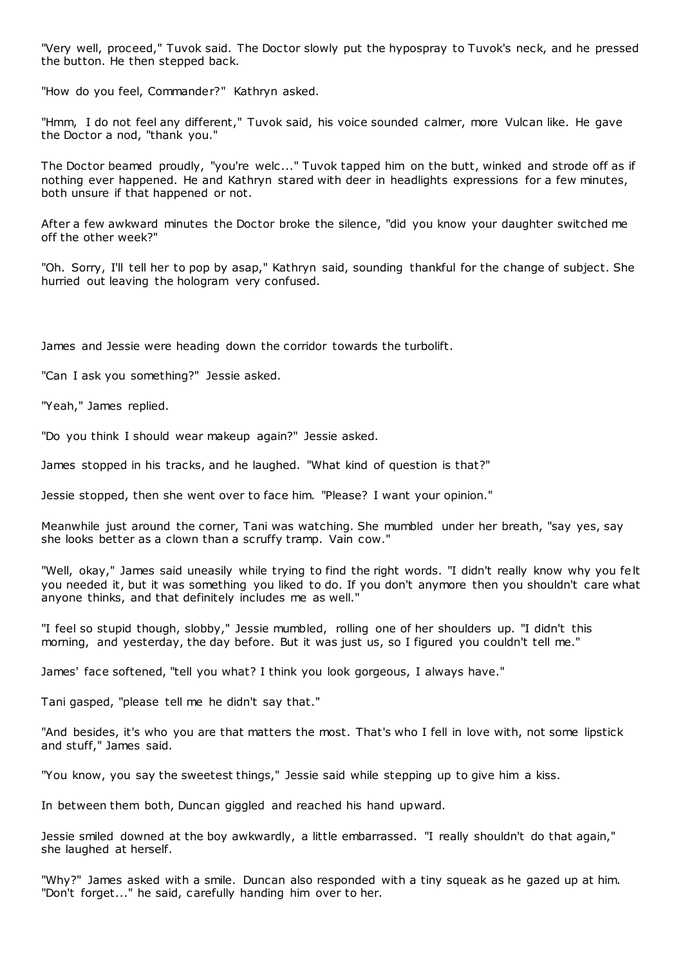"Very well, proceed," Tuvok said. The Doctor slowly put the hypospray to Tuvok's neck, and he pressed the button. He then stepped back.

"How do you feel, Commander?" Kathryn asked.

"Hmm, I do not feel any different," Tuvok said, his voice sounded calmer, more Vulcan like. He gave the Doctor a nod, "thank you."

The Doctor beamed proudly, "you're welc ..." Tuvok tapped him on the butt, winked and strode off as if nothing ever happened. He and Kathryn stared with deer in headlights expressions for a few minutes, both unsure if that happened or not.

After a few awkward minutes the Doctor broke the silence, "did you know your daughter switched me off the other week?"

"Oh. Sorry, I'll tell her to pop by asap," Kathryn said, sounding thankful for the change of subject. She hurried out leaving the hologram very confused.

James and Jessie were heading down the corridor towards the turbolift.

"Can I ask you something?" Jessie asked.

"Yeah," James replied.

"Do you think I should wear makeup again?" Jessie asked.

James stopped in his tracks, and he laughed. "What kind of question is that?"

Jessie stopped, then she went over to face him. "Please? I want your opinion."

Meanwhile just around the corner, Tani was watching. She mumbled under her breath, "say yes, say she looks better as a clown than a scruffy tramp. Vain cow."

"Well, okay," James said uneasily while trying to find the right words. "I didn't really know why you felt you needed it, but it was something you liked to do. If you don't anymore then you shouldn't care what anyone thinks, and that definitely includes me as well."

"I feel so stupid though, slobby," Jessie mumbled, rolling one of her shoulders up. "I didn't this morning, and yesterday, the day before. But it was just us, so I figured you couldn't tell me."

James' face softened, "tell you what? I think you look gorgeous, I always have."

Tani gasped, "please tell me he didn't say that."

"And besides, it's who you are that matters the most. That's who I fell in love with, not some lipstick and stuff," James said.

"You know, you say the sweetest things," Jessie said while stepping up to give him a kiss.

In between them both, Duncan giggled and reached his hand upward.

Jessie smiled downed at the boy awkwardly, a little embarrassed. "I really shouldn't do that again," she laughed at herself.

"Why?" James asked with a smile. Duncan also responded with a tiny squeak as he gazed up at him. "Don't forget..." he said, carefully handing him over to her.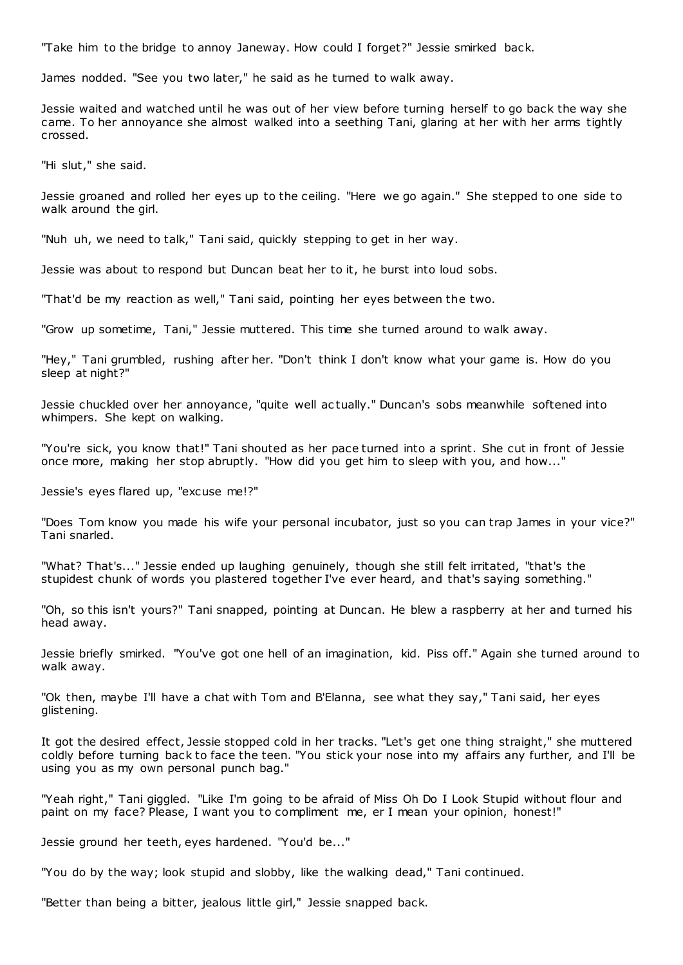"Take him to the bridge to annoy Janeway. How could I forget?" Jessie smirked back.

James nodded. "See you two later," he said as he turned to walk away.

Jessie waited and watched until he was out of her view before turning herself to go back the way she came. To her annoyance she almost walked into a seething Tani, glaring at her with her arms tightly crossed.

"Hi slut," she said.

Jessie groaned and rolled her eyes up to the ceiling. "Here we go again." She stepped to one side to walk around the girl.

"Nuh uh, we need to talk," Tani said, quickly stepping to get in her way.

Jessie was about to respond but Duncan beat her to it, he burst into loud sobs.

"That'd be my reaction as well," Tani said, pointing her eyes between the two.

"Grow up sometime, Tani," Jessie muttered. This time she turned around to walk away.

"Hey," Tani grumbled, rushing after her. "Don't think I don't know what your game is. How do you sleep at night?"

Jessie chuckled over her annoyance, "quite well ac tually." Duncan's sobs meanwhile softened into whimpers. She kept on walking.

"You're sick, you know that!" Tani shouted as her pace turned into a sprint. She cut in front of Jessie once more, making her stop abruptly. "How did you get him to sleep with you, and how..."

Jessie's eyes flared up, "excuse me!?"

"Does Tom know you made his wife your personal incubator, just so you can trap James in your vice?" Tani snarled.

"What? That's..." Jessie ended up laughing genuinely, though she still felt irritated, "that's the stupidest chunk of words you plastered together I've ever heard, and that's saying something."

"Oh, so this isn't yours?" Tani snapped, pointing at Duncan. He blew a raspberry at her and turned his head away.

Jessie briefly smirked. "You've got one hell of an imagination, kid. Piss off." Again she turned around to walk away.

"Ok then, maybe I'll have a chat with Tom and B'Elanna, see what they say," Tani said, her eyes glistening.

It got the desired effect, Jessie stopped cold in her tracks. "Let's get one thing straight," she muttered coldly before turning back to face the teen. "You stick your nose into my affairs any further, and I'll be using you as my own personal punch bag."

"Yeah right," Tani giggled. "Like I'm going to be afraid of Miss Oh Do I Look Stupid without flour and paint on my face? Please, I want you to compliment me, er I mean your opinion, honest!"

Jessie ground her teeth, eyes hardened. "You'd be..."

"You do by the way; look stupid and slobby, like the walking dead," Tani continued.

"Better than being a bitter, jealous little girl," Jessie snapped back.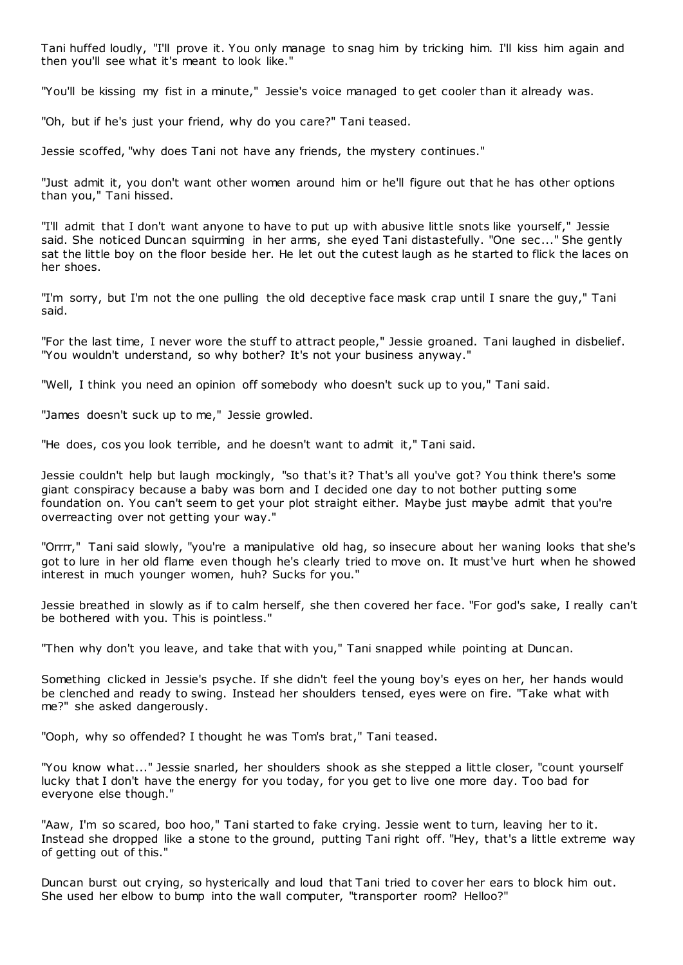Tani huffed loudly, "I'll prove it. You only manage to snag him by tricking him. I'll kiss him again and then you'll see what it's meant to look like."

"You'll be kissing my fist in a minute," Jessie's voice managed to get cooler than it already was.

"Oh, but if he's just your friend, why do you care?" Tani teased.

Jessie scoffed, "why does Tani not have any friends, the mystery continues."

"Just admit it, you don't want other women around him or he'll figure out that he has other options than you," Tani hissed.

"I'll admit that I don't want anyone to have to put up with abusive little snots like yourself," Jessie said. She noticed Duncan squirming in her arms, she eyed Tani distastefully. "One sec..." She gently sat the little boy on the floor beside her. He let out the cutest laugh as he started to flick the laces on her shoes.

"I'm sorry, but I'm not the one pulling the old deceptive face mask crap until I snare the guy," Tani said.

"For the last time, I never wore the stuff to attract people," Jessie groaned. Tani laughed in disbelief. "You wouldn't understand, so why bother? It's not your business anyway."

"Well, I think you need an opinion off somebody who doesn't suck up to you," Tani said.

"James doesn't suck up to me," Jessie growled.

"He does, cos you look terrible, and he doesn't want to admit it," Tani said.

Jessie couldn't help but laugh mockingly, "so that's it? That's all you've got? You think there's some giant conspiracy because a baby was born and I decided one day to not bother putting some foundation on. You can't seem to get your plot straight either. Maybe just maybe admit that you're overreacting over not getting your way."

"Orrrr," Tani said slowly, "you're a manipulative old hag, so insecure about her waning looks that she's got to lure in her old flame even though he's clearly tried to move on. It must've hurt when he showed interest in much younger women, huh? Sucks for you."

Jessie breathed in slowly as if to calm herself, she then covered her face. "For god's sake, I really can't be bothered with you. This is pointless."

"Then why don't you leave, and take that with you," Tani snapped while pointing at Duncan.

Something clicked in Jessie's psyche. If she didn't feel the young boy's eyes on her, her hands would be clenched and ready to swing. Instead her shoulders tensed, eyes were on fire. "Take what with me?" she asked dangerously.

"Ooph, why so offended? I thought he was Tom's brat," Tani teased.

"You know what..." Jessie snarled, her shoulders shook as she stepped a little closer, "count yourself lucky that I don't have the energy for you today, for you get to live one more day. Too bad for everyone else though."

"Aaw, I'm so scared, boo hoo," Tani started to fake crying. Jessie went to turn, leaving her to it. Instead she dropped like a stone to the ground, putting Tani right off. "Hey, that's a little extreme way of getting out of this."

Duncan burst out crying, so hysterically and loud that Tani tried to cover her ears to block him out. She used her elbow to bump into the wall computer, "transporter room? Helloo?"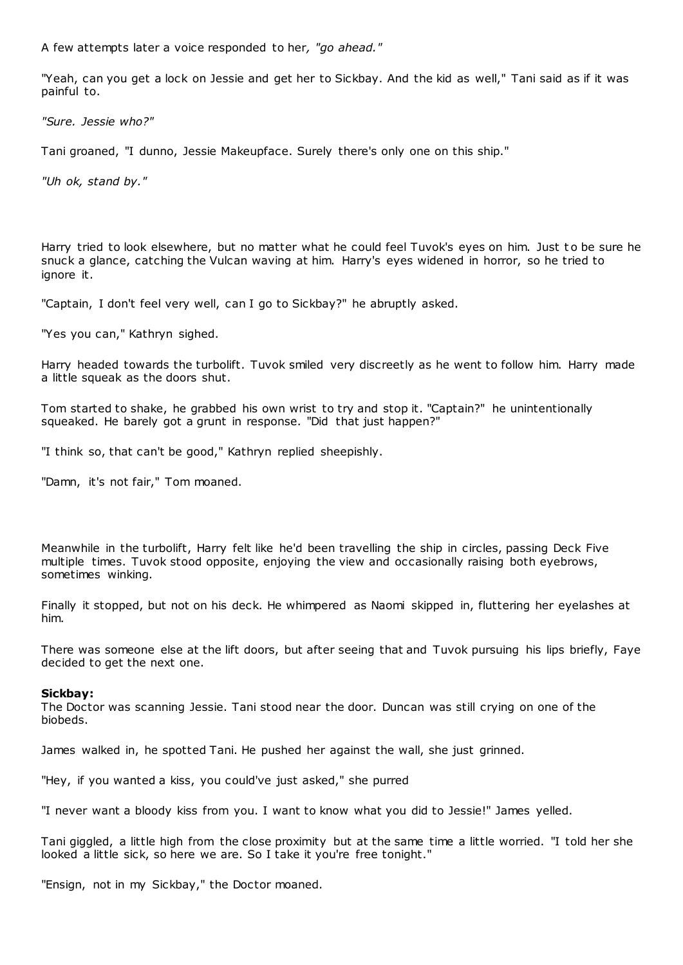A few attempts later a voice responded to her*, "go ahead."*

"Yeah, can you get a lock on Jessie and get her to Sickbay. And the kid as well," Tani said as if it was painful to.

*"Sure. Jessie who?"*

Tani groaned, "I dunno, Jessie Makeupface. Surely there's only one on this ship."

*"Uh ok, stand by."*

Harry tried to look elsewhere, but no matter what he could feel Tuvok's eyes on him. Just t o be sure he snuck a glance, catching the Vulcan waving at him. Harry's eyes widened in horror, so he tried to ignore it.

"Captain, I don't feel very well, can I go to Sickbay?" he abruptly asked.

"Yes you can," Kathryn sighed.

Harry headed towards the turbolift. Tuvok smiled very discreetly as he went to follow him. Harry made a little squeak as the doors shut.

Tom started to shake, he grabbed his own wrist to try and stop it. "Captain?" he unintentionally squeaked. He barely got a grunt in response. "Did that just happen?"

"I think so, that can't be good," Kathryn replied sheepishly.

"Damn, it's not fair," Tom moaned.

Meanwhile in the turbolift, Harry felt like he'd been travelling the ship in circles, passing Deck Five multiple times. Tuvok stood opposite, enjoying the view and occasionally raising both eyebrows, sometimes winking.

Finally it stopped, but not on his deck. He whimpered as Naomi skipped in, fluttering her eyelashes at him.

There was someone else at the lift doors, but after seeing that and Tuvok pursuing his lips briefly, Faye decided to get the next one.

# **Sickbay:**

The Doctor was scanning Jessie. Tani stood near the door. Duncan was still crying on one of the biobeds.

James walked in, he spotted Tani. He pushed her against the wall, she just grinned.

"Hey, if you wanted a kiss, you could've just asked," she purred

"I never want a bloody kiss from you. I want to know what you did to Jessie!" James yelled.

Tani giggled, a little high from the close proximity but at the same time a little worried. "I told her she looked a little sick, so here we are. So I take it you're free tonight."

"Ensign, not in my Sickbay," the Doctor moaned.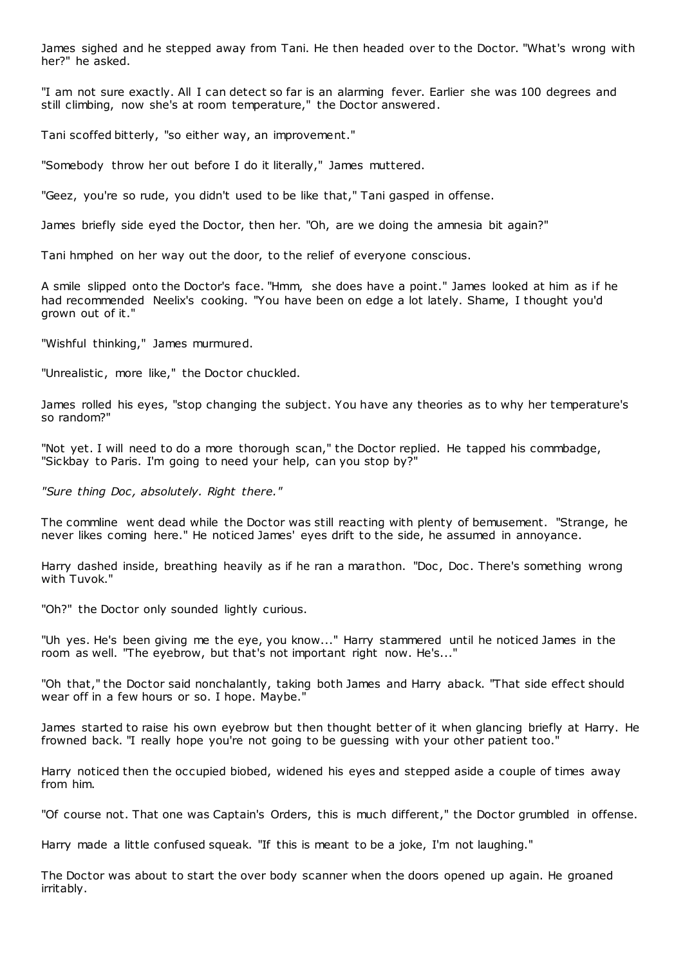James sighed and he stepped away from Tani. He then headed over to the Doctor. "What's wrong with her?" he asked.

"I am not sure exactly. All I can detect so far is an alarming fever. Earlier she was 100 degrees and still climbing, now she's at room temperature," the Doctor answered.

Tani scoffed bitterly, "so either way, an improvement."

"Somebody throw her out before I do it literally," James muttered.

"Geez, you're so rude, you didn't used to be like that," Tani gasped in offense.

James briefly side eyed the Doctor, then her. "Oh, are we doing the amnesia bit again?"

Tani hmphed on her way out the door, to the relief of everyone conscious.

A smile slipped onto the Doctor's face. "Hmm, she does have a point." James looked at him as if he had recommended Neelix's cooking. "You have been on edge a lot lately. Shame, I thought you'd grown out of it."

"Wishful thinking," James murmured.

"Unrealistic, more like," the Doctor chuckled.

James rolled his eyes, "stop changing the subject. You have any theories as to why her temperature's so random?"

"Not yet. I will need to do a more thorough scan," the Doctor replied. He tapped his commbadge, "Sickbay to Paris. I'm going to need your help, can you stop by?"

*"Sure thing Doc , absolutely. Right there."*

The commline went dead while the Doctor was still reacting with plenty of bemusement. "Strange, he never likes coming here." He noticed James' eyes drift to the side, he assumed in annoyance.

Harry dashed inside, breathing heavily as if he ran a marathon. "Doc, Doc. There's something wrong with Tuvok."

"Oh?" the Doctor only sounded lightly curious.

"Uh yes. He's been giving me the eye, you know..." Harry stammered until he noticed James in the room as well. "The eyebrow, but that's not important right now. He's..."

"Oh that," the Doctor said nonchalantly, taking both James and Harry aback. "That side effect should wear off in a few hours or so. I hope. Maybe."

James started to raise his own eyebrow but then thought better of it when glancing briefly at Harry. He frowned back. "I really hope you're not going to be guessing with your other patient too."

Harry noticed then the occupied biobed, widened his eyes and stepped aside a couple of times away from him.

"Of course not. That one was Captain's Orders, this is much different," the Doctor grumbled in offense.

Harry made a little confused squeak. "If this is meant to be a joke, I'm not laughing."

The Doctor was about to start the over body scanner when the doors opened up again. He groaned irritably.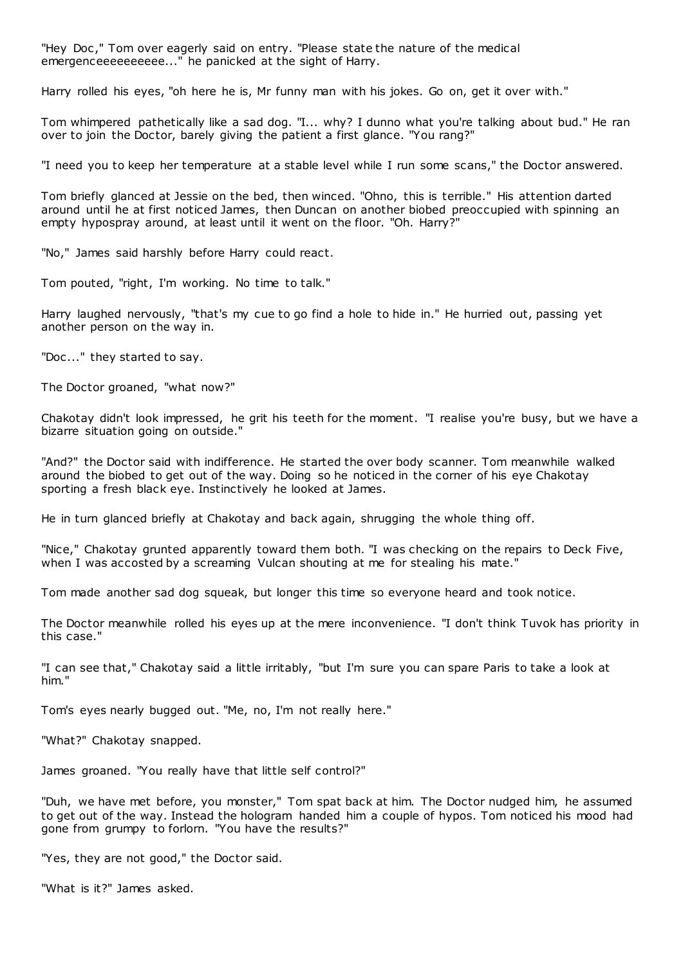"Hey Doc ," Tom over eagerly said on entry. "Please state the nature of the medical emergenceeeeeeeeee..." he panicked at the sight of Harry.

Harry rolled his eyes, "oh here he is, Mr funny man with his jokes. Go on, get it over with."

Tom whimpered pathetically like a sad dog. "I... why? I dunno what you're talking about bud." He ran over to join the Doctor, barely giving the patient a first glance. "You rang?"

"I need you to keep her temperature at a stable level while I run some scans," the Doctor answered.

Tom briefly glanced at Jessie on the bed, then winced. "Ohno, this is terrible." His attention darted around until he at first noticed James, then Duncan on another biobed preoccupied with spinning an empty hypospray around, at least until it went on the floor. "Oh. Harry?"

"No," James said harshly before Harry could react.

Tom pouted, "right, I'm working. No time to talk."

Harry laughed nervously, "that's my cue to go find a hole to hide in." He hurried out, passing yet another person on the way in.

"Doc..." they started to say.

The Doctor groaned, "what now?"

Chakotay didn't look impressed, he grit his teeth for the moment. "I realise you're busy, but we have a bizarre situation going on outside."

"And?" the Doctor said with indifference. He started the over body scanner. Tom meanwhile walked around the biobed to get out of the way. Doing so he noticed in the corner of his eye Chakotay sporting a fresh black eye. Instinctively he looked at James.

He in turn glanced briefly at Chakotay and back again, shrugging the whole thing off.

"Nice," Chakotay grunted apparently toward them both. "I was checking on the repairs to Deck Five, when I was accosted by a screaming Vulcan shouting at me for stealing his mate.'

Tom made another sad dog squeak, but longer this time so everyone heard and took notice.

The Doctor meanwhile rolled his eyes up at the mere inconvenience. "I don't think Tuvok has priority in this case."

"I can see that," Chakotay said a little irritably, "but I'm sure you can spare Paris to take a look at him."

Tom's eyes nearly bugged out. "Me, no, I'm not really here."

"What?" Chakotay snapped.

James groaned. "You really have that little self control?"

"Duh, we have met before, you monster," Tom spat back at him. The Doctor nudged him, he assumed to get out of the way. Instead the hologram handed him a couple of hypos. Tom noticed his mood had gone from grumpy to forlorn. "You have the results?"

"Yes, they are not good," the Doctor said.

"What is it?" James asked.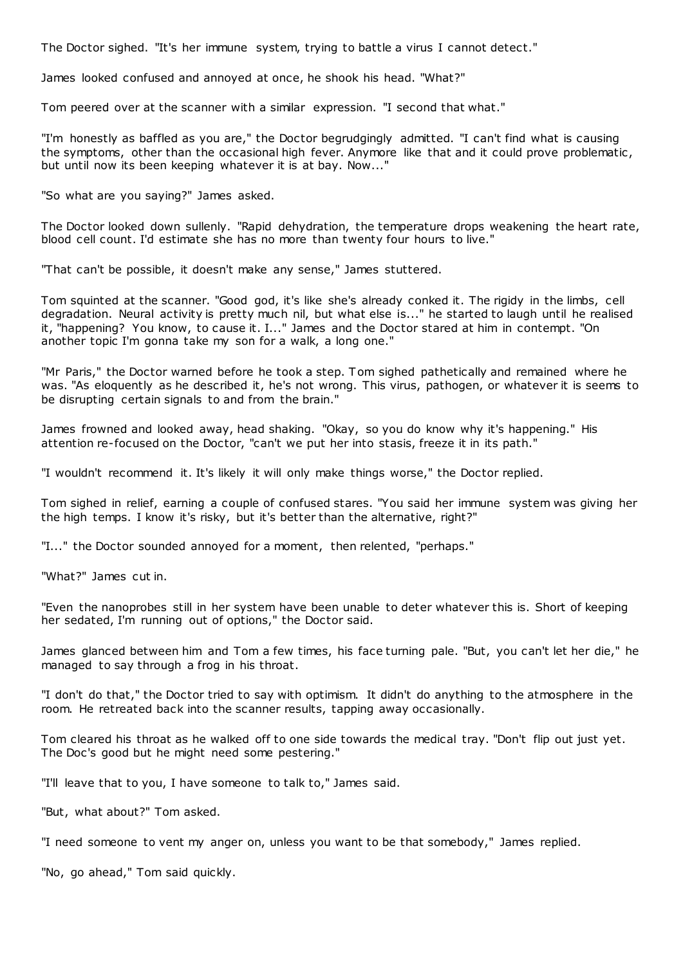The Doctor sighed. "It's her immune system, trying to battle a virus I cannot detect."

James looked confused and annoyed at once, he shook his head. "What?"

Tom peered over at the scanner with a similar expression. "I second that what."

"I'm honestly as baffled as you are," the Doctor begrudgingly admitted. "I can't find what is causing the symptoms, other than the occasional high fever. Anymore like that and it could prove problematic , but until now its been keeping whatever it is at bay. Now..."

"So what are you saying?" James asked.

The Doctor looked down sullenly. "Rapid dehydration, the temperature drops weakening the heart rate, blood cell count. I'd estimate she has no more than twenty four hours to live."

"That can't be possible, it doesn't make any sense," James stuttered.

Tom squinted at the scanner. "Good god, it's like she's already conked it. The rigidy in the limbs, cell degradation. Neural activity is pretty much nil, but what else is..." he started to laugh until he realised it, "happening? You know, to cause it. I..." James and the Doctor stared at him in contempt. "On another topic I'm gonna take my son for a walk, a long one."

"Mr Paris," the Doctor warned before he took a step. Tom sighed pathetically and remained where he was. "As eloquently as he described it, he's not wrong. This virus, pathogen, or whatever it is seems to be disrupting certain signals to and from the brain."

James frowned and looked away, head shaking. "Okay, so you do know why it's happening." His attention re-focused on the Doctor, "can't we put her into stasis, freeze it in its path."

"I wouldn't recommend it. It's likely it will only make things worse," the Doctor replied.

Tom sighed in relief, earning a couple of confused stares. "You said her immune system was giving her the high temps. I know it's risky, but it's better than the alternative, right?"

"I..." the Doctor sounded annoyed for a moment, then relented, "perhaps."

"What?" James cut in.

"Even the nanoprobes still in her system have been unable to deter whatever this is. Short of keeping her sedated, I'm running out of options," the Doctor said.

James glanced between him and Tom a few times, his face turning pale. "But, you can't let her die," he managed to say through a frog in his throat.

"I don't do that," the Doctor tried to say with optimism. It didn't do anything to the atmosphere in the room. He retreated back into the scanner results, tapping away occasionally.

Tom cleared his throat as he walked off to one side towards the medical tray. "Don't flip out just yet. The Doc's good but he might need some pestering."

"I'll leave that to you, I have someone to talk to," James said.

"But, what about?" Tom asked.

"I need someone to vent my anger on, unless you want to be that somebody," James replied.

"No, go ahead," Tom said quickly.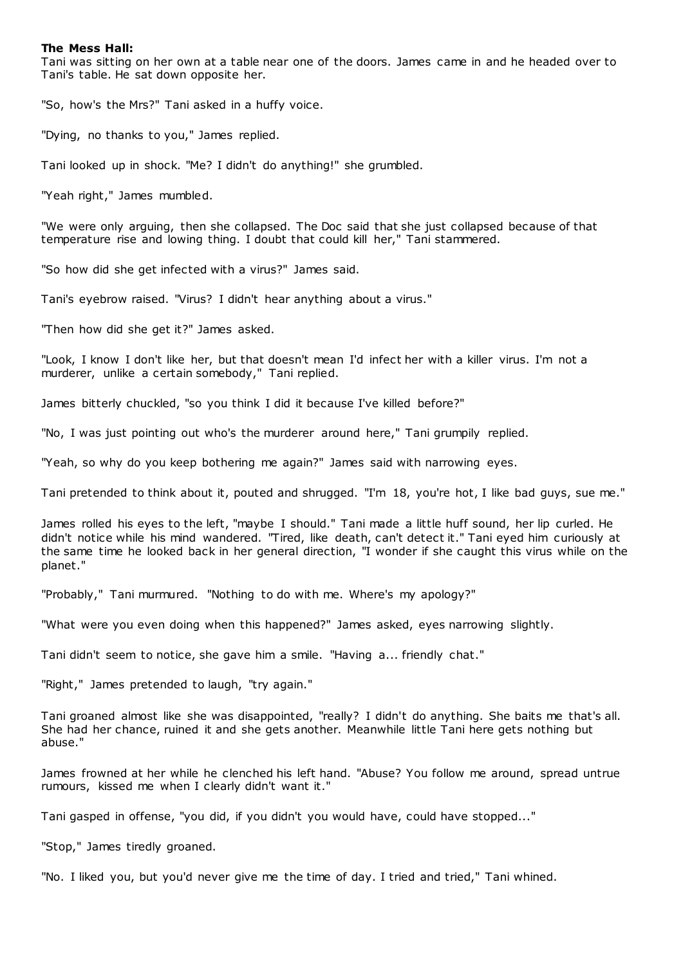## **The Mess Hall:**

Tani was sitting on her own at a table near one of the doors. James came in and he headed over to Tani's table. He sat down opposite her.

"So, how's the Mrs?" Tani asked in a huffy voice.

"Dying, no thanks to you," James replied.

Tani looked up in shock. "Me? I didn't do anything!" she grumbled.

"Yeah right," James mumbled.

"We were only arguing, then she collapsed. The Doc said that she just collapsed because of that temperature rise and lowing thing. I doubt that could kill her," Tani stammered.

"So how did she get infected with a virus?" James said.

Tani's eyebrow raised. "Virus? I didn't hear anything about a virus."

"Then how did she get it?" James asked.

"Look, I know I don't like her, but that doesn't mean I'd infect her with a killer virus. I'm not a murderer, unlike a certain somebody," Tani replied.

James bitterly chuckled, "so you think I did it because I've killed before?"

"No, I was just pointing out who's the murderer around here," Tani grumpily replied.

"Yeah, so why do you keep bothering me again?" James said with narrowing eyes.

Tani pretended to think about it, pouted and shrugged. "I'm 18, you're hot, I like bad guys, sue me."

James rolled his eyes to the left, "maybe I should." Tani made a little huff sound, her lip curled. He didn't notice while his mind wandered. "Tired, like death, can't detect it." Tani eyed him curiously at the same time he looked back in her general direction, "I wonder if she caught this virus while on the planet."

"Probably," Tani murmured. "Nothing to do with me. Where's my apology?"

"What were you even doing when this happened?" James asked, eyes narrowing slightly.

Tani didn't seem to notice, she gave him a smile. "Having a... friendly chat."

"Right," James pretended to laugh, "try again."

Tani groaned almost like she was disappointed, "really? I didn't do anything. She baits me that's all. She had her chance, ruined it and she gets another. Meanwhile little Tani here gets nothing but abuse."

James frowned at her while he clenched his left hand. "Abuse? You follow me around, spread untrue rumours, kissed me when I clearly didn't want it."

Tani gasped in offense, "you did, if you didn't you would have, could have stopped..."

"Stop," James tiredly groaned.

"No. I liked you, but you'd never give me the time of day. I tried and tried," Tani whined.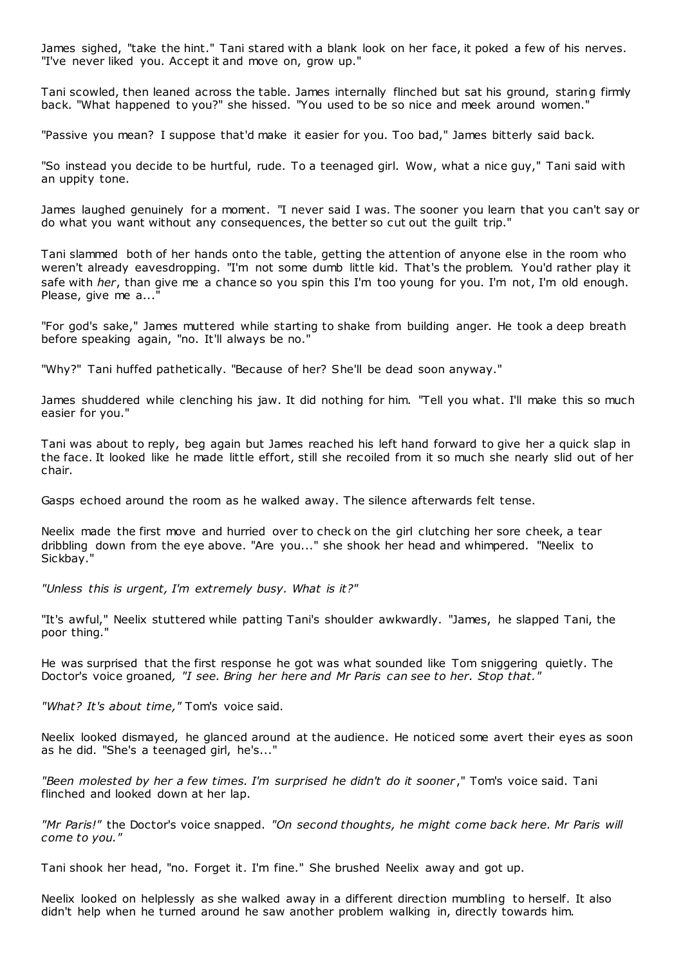James sighed, "take the hint." Tani stared with a blank look on her face, it poked a few of his nerves. "I've never liked you. Accept it and move on, grow up."

Tani scowled, then leaned across the table. James internally flinched but sat his ground, staring firmly back. "What happened to you?" she hissed. "You used to be so nice and meek around women."

"Passive you mean? I suppose that'd make it easier for you. Too bad," James bitterly said back.

"So instead you decide to be hurtful, rude. To a teenaged girl. Wow, what a nice guy," Tani said with an uppity tone.

James laughed genuinely for a moment. "I never said I was. The sooner you learn that you can't say or do what you want without any consequences, the better so cut out the guilt trip."

Tani slammed both of her hands onto the table, getting the attention of anyone else in the room who weren't already eavesdropping. "I'm not some dumb little kid. That's the problem. You'd rather play it safe with *her*, than give me a chance so you spin this I'm too young for you. I'm not, I'm old enough. Please, give me a...

"For god's sake," James muttered while starting to shake from building anger. He took a deep breath before speaking again, "no. It'll always be no."

"Why?" Tani huffed pathetically. "Because of her? She'll be dead soon anyway."

James shuddered while clenching his jaw. It did nothing for him. "Tell you what. I'll make this so much easier for you."

Tani was about to reply, beg again but James reached his left hand forward to give her a quick slap in the face. It looked like he made little effort, still she recoiled from it so much she nearly slid out of her chair.

Gasps echoed around the room as he walked away. The silence afterwards felt tense.

Neelix made the first move and hurried over to check on the girl clutching her sore cheek, a tear dribbling down from the eye above. "Are you..." she shook her head and whimpered. "Neelix to Sickbay."

*"Unless this is urgent, I'm extremely busy. What is it?"*

"It's awful," Neelix stuttered while patting Tani's shoulder awkwardly. "James, he slapped Tani, the poor thing."

He was surprised that the first response he got was what sounded like Tom sniggering quietly. The Doctor's voice groaned*, "I see. Bring her here and Mr Paris can see to her. Stop that."*

*"What? It's about time,"* Tom's voice said.

Neelix looked dismayed, he glanced around at the audience. He noticed some avert their eyes as soon as he did. "She's a teenaged girl, he's..."

*"Been molested by her a few times. I'm surprised he didn't do it sooner* ," Tom's voice said. Tani flinched and looked down at her lap.

*"Mr Paris!"* the Doctor's voice snapped. *"On second thoughts, he might come back here. Mr Paris will come to you."*

Tani shook her head, "no. Forget it. I'm fine." She brushed Neelix away and got up.

Neelix looked on helplessly as she walked away in a different direction mumbling to herself. It also didn't help when he turned around he saw another problem walking in, directly towards him.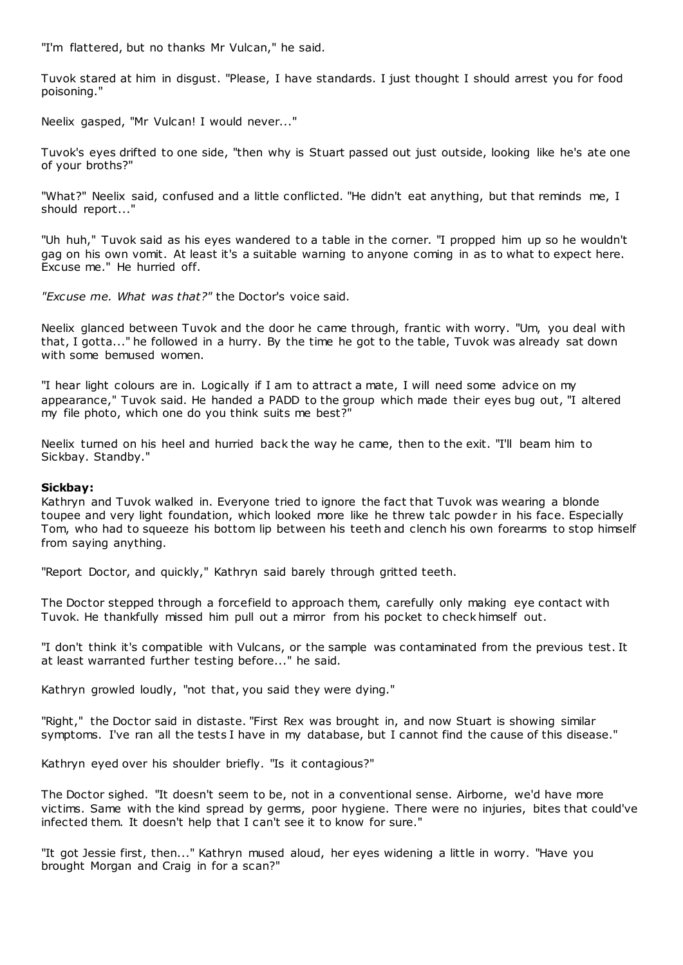"I'm flattered, but no thanks Mr Vulcan," he said.

Tuvok stared at him in disgust. "Please, I have standards. I just thought I should arrest you for food poisoning."

Neelix gasped, "Mr Vulcan! I would never..."

Tuvok's eyes drifted to one side, "then why is Stuart passed out just outside, looking like he's ate one of your broths?"

"What?" Neelix said, confused and a little conflicted. "He didn't eat anything, but that reminds me, I should report..."

"Uh huh," Tuvok said as his eyes wandered to a table in the corner. "I propped him up so he wouldn't gag on his own vomit. At least it's a suitable warning to anyone coming in as to what to expect here. Excuse me." He hurried off.

*"Excuse me. What was that?"* the Doctor's voice said.

Neelix glanced between Tuvok and the door he came through, frantic with worry. "Um, you deal with that, I gotta..." he followed in a hurry. By the time he got to the table, Tuvok was already sat down with some bemused women.

"I hear light colours are in. Logically if I am to attract a mate, I will need some advice on my appearance," Tuvok said. He handed a PADD to the group which made their eves bug out. "I altered my file photo, which one do you think suits me best?"

Neelix turned on his heel and hurried back the way he came, then to the exit. "I'll beam him to Sickbay. Standby."

# **Sickbay:**

Kathryn and Tuvok walked in. Everyone tried to ignore the fact that Tuvok was wearing a blonde toupee and very light foundation, which looked more like he threw talc powder in his face. Especially Tom, who had to squeeze his bottom lip between his teeth and clench his own forearms to stop himself from saying anything.

"Report Doctor, and quickly," Kathryn said barely through gritted teeth.

The Doctor stepped through a forcefield to approach them, carefully only making eye contact with Tuvok. He thankfully missed him pull out a mirror from his pocket to check himself out.

"I don't think it's compatible with Vulcans, or the sample was contaminated from the previous test. It at least warranted further testing before..." he said.

Kathryn growled loudly, "not that, you said they were dying."

"Right," the Doctor said in distaste. "First Rex was brought in, and now Stuart is showing similar symptoms. I've ran all the tests I have in my database, but I cannot find the cause of this disease."

Kathryn eyed over his shoulder briefly. "Is it contagious?"

The Doctor sighed. "It doesn't seem to be, not in a conventional sense. Airborne, we'd have more victims. Same with the kind spread by germs, poor hygiene. There were no injuries, bites that could've infected them. It doesn't help that I can't see it to know for sure."

"It got Jessie first, then..." Kathryn mused aloud, her eyes widening a little in worry. "Have you brought Morgan and Craig in for a scan?"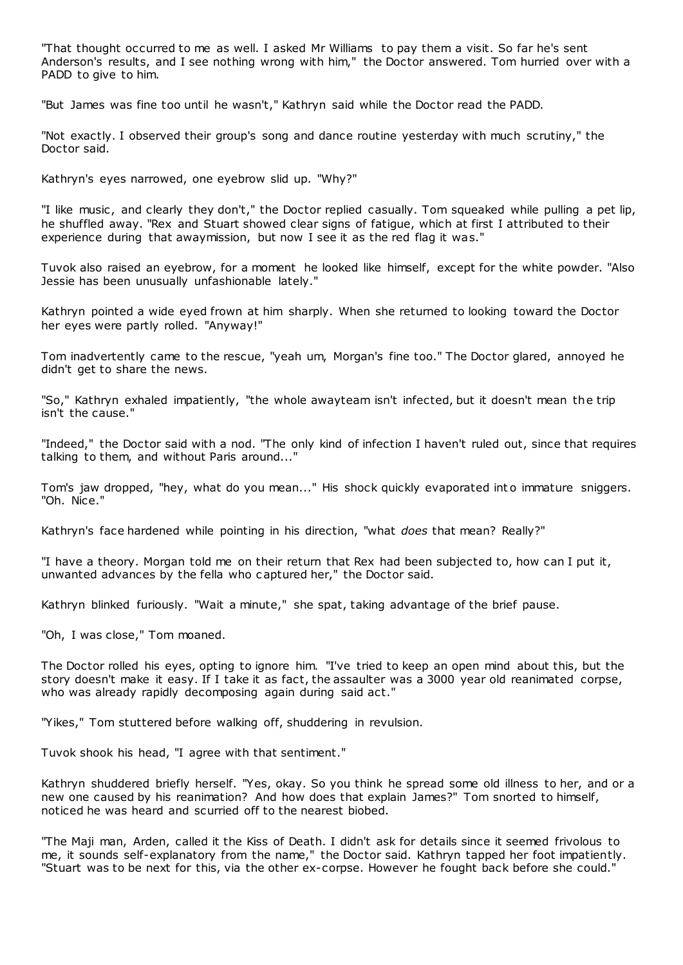"That thought occurred to me as well. I asked Mr Williams to pay them a visit. So far he's sent Anderson's results, and I see nothing wrong with him," the Doctor answered. Tom hurried over with a PADD to give to him.

"But James was fine too until he wasn't," Kathryn said while the Doctor read the PADD.

"Not exactly. I observed their group's song and dance routine yesterday with much scrutiny," the Doctor said.

Kathryn's eyes narrowed, one eyebrow slid up. "Why?"

"I like music, and clearly they don't," the Doctor replied casually. Tom squeaked while pulling a pet lip, he shuffled away. "Rex and Stuart showed clear signs of fatigue, which at first I attributed to their experience during that awaymission, but now I see it as the red flag it was."

Tuvok also raised an eyebrow, for a moment he looked like himself, except for the white powder. "Also Jessie has been unusually unfashionable lately."

Kathryn pointed a wide eyed frown at him sharply. When she returned to looking toward the Doctor her eyes were partly rolled. "Anyway!"

Tom inadvertently came to the rescue, "yeah um, Morgan's fine too." The Doctor glared, annoyed he didn't get to share the news.

"So," Kathryn exhaled impatiently, "the whole awayteam isn't infected, but it doesn't mean the trip isn't the cause."

"Indeed," the Doctor said with a nod. "The only kind of infection I haven't ruled out, since that requires talking to them, and without Paris around..."

Tom's jaw dropped, "hey, what do you mean..." His shock quickly evaporated int o immature sniggers. "Oh. Nice."

Kathryn's face hardened while pointing in his direction, "what *does* that mean? Really?"

"I have a theory. Morgan told me on their return that Rex had been subjected to, how can I put it, unwanted advances by the fella who captured her," the Doctor said.

Kathryn blinked furiously. "Wait a minute," she spat, taking advantage of the brief pause.

"Oh, I was close," Tom moaned.

The Doctor rolled his eyes, opting to ignore him. "I've tried to keep an open mind about this, but the story doesn't make it easy. If I take it as fact, the assaulter was a 3000 year old reanimated corpse, who was already rapidly decomposing again during said act."

"Yikes," Tom stuttered before walking off, shuddering in revulsion.

Tuvok shook his head, "I agree with that sentiment."

Kathryn shuddered briefly herself. "Yes, okay. So you think he spread some old illness to her, and or a new one caused by his reanimation? And how does that explain James?" Tom snorted to himself, noticed he was heard and scurried off to the nearest biobed.

"The Maji man, Arden, called it the Kiss of Death. I didn't ask for details since it seemed frivolous to me, it sounds self-explanatory from the name," the Doctor said. Kathryn tapped her foot impatiently. "Stuart was to be next for this, via the other ex-corpse. However he fought back before she could."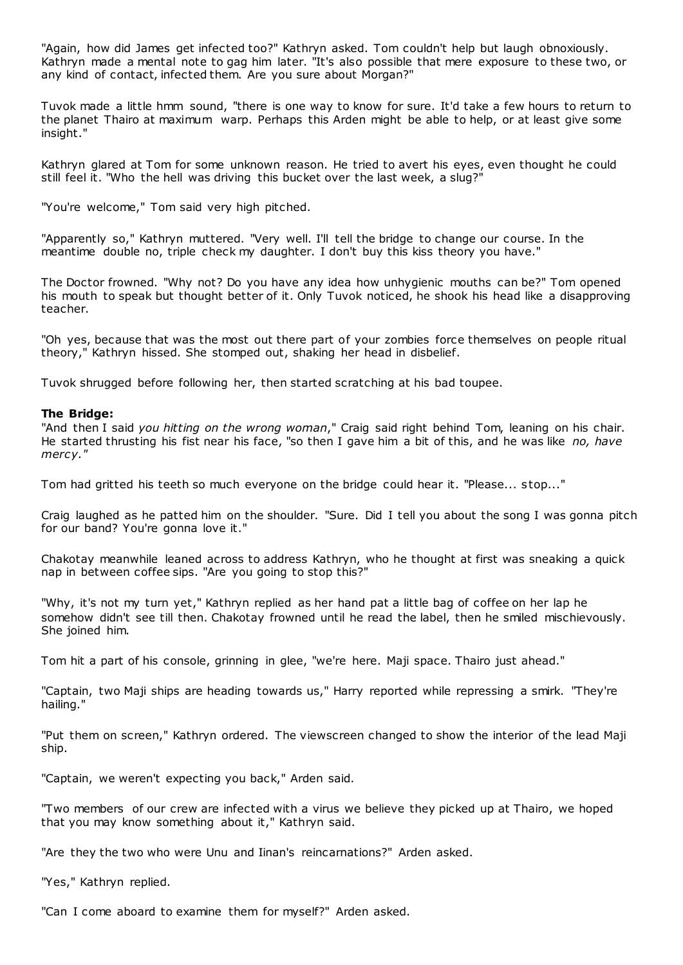"Again, how did James get infected too?" Kathryn asked. Tom couldn't help but laugh obnoxiously. Kathryn made a mental note to gag him later. "It's also possible that mere exposure to these two, or any kind of contact, infected them. Are you sure about Morgan?"

Tuvok made a little hmm sound, "there is one way to know for sure. It'd take a few hours to return to the planet Thairo at maximum warp. Perhaps this Arden might be able to help, or at least give some insight."

Kathryn glared at Tom for some unknown reason. He tried to avert his eyes, even thought he could still feel it. "Who the hell was driving this bucket over the last week, a slug?"

"You're welcome," Tom said very high pitched.

"Apparently so," Kathryn muttered. "Very well. I'll tell the bridge to change our course. In the meantime double no, triple check my daughter. I don't buy this kiss theory you have."

The Doctor frowned. "Why not? Do you have any idea how unhygienic mouths can be?" Tom opened his mouth to speak but thought better of it. Only Tuvok noticed, he shook his head like a disapproving teacher.

"Oh yes, because that was the most out there part of your zombies force themselves on people ritual theory," Kathryn hissed. She stomped out, shaking her head in disbelief.

Tuvok shrugged before following her, then started scratching at his bad toupee.

# **The Bridge:**

"And then I said *you hitting on the wrong woman*," Craig said right behind Tom, leaning on his chair. He started thrusting his fist near his face, "so then I gave him a bit of this, and he was like *no, have mercy."*

Tom had gritted his teeth so much everyone on the bridge could hear it. "Please... stop..."

Craig laughed as he patted him on the shoulder. "Sure. Did I tell you about the song I was gonna pitch for our band? You're gonna love it."

Chakotay meanwhile leaned across to address Kathryn, who he thought at first was sneaking a quick nap in between coffee sips. "Are you going to stop this?"

"Why, it's not my turn yet," Kathryn replied as her hand pat a little bag of coffee on her lap he somehow didn't see till then. Chakotay frowned until he read the label, then he smiled mischievously. She joined him.

Tom hit a part of his console, grinning in glee, "we're here. Maji space. Thairo just ahead."

"Captain, two Maji ships are heading towards us," Harry reported while repressing a smirk. "They're hailing."

"Put them on screen," Kathryn ordered. The viewscreen changed to show the interior of the lead Maji ship.

"Captain, we weren't expecting you back," Arden said.

"Two members of our crew are infected with a virus we believe they picked up at Thairo, we hoped that you may know something about it," Kathryn said.

"Are they the two who were Unu and Iinan's reincarnations?" Arden asked.

"Yes," Kathryn replied.

"Can I come aboard to examine them for myself?" Arden asked.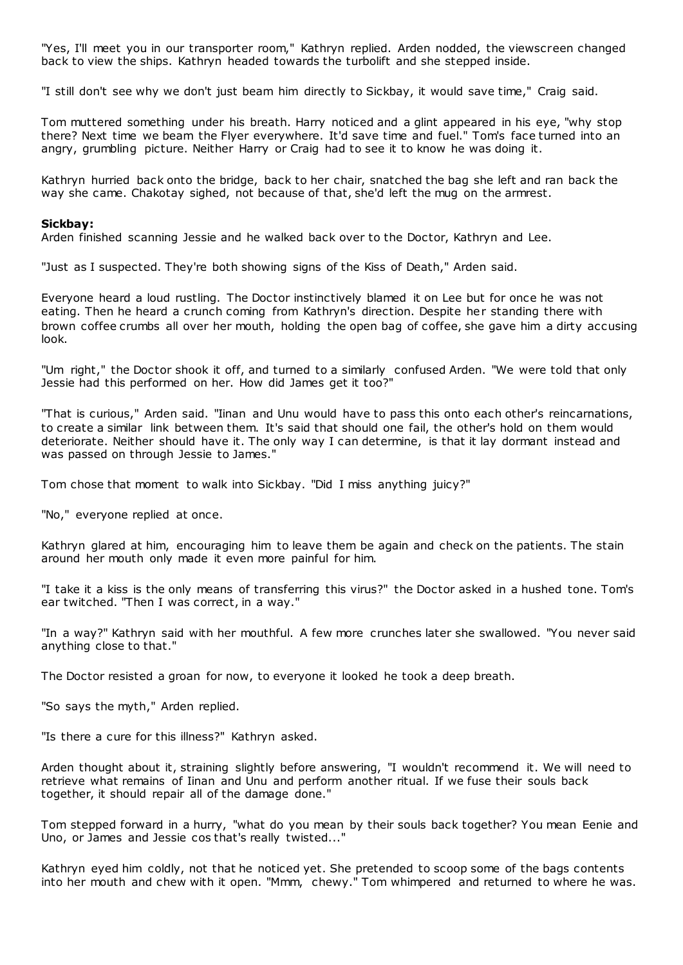"Yes, I'll meet you in our transporter room," Kathryn replied. Arden nodded, the viewscreen changed back to view the ships. Kathryn headed towards the turbolift and she stepped inside.

"I still don't see why we don't just beam him directly to Sickbay, it would save time," Craig said.

Tom muttered something under his breath. Harry noticed and a glint appeared in his eye, "why stop there? Next time we beam the Flyer everywhere. It'd save time and fuel." Tom's face turned into an angry, grumbling picture. Neither Harry or Craig had to see it to know he was doing it.

Kathryn hurried back onto the bridge, back to her chair, snatched the bag she left and ran back the way she came. Chakotay sighed, not because of that, she'd left the mug on the armrest.

#### **Sickbay:**

Arden finished scanning Jessie and he walked back over to the Doctor, Kathryn and Lee.

"Just as I suspected. They're both showing signs of the Kiss of Death," Arden said.

Everyone heard a loud rustling. The Doctor instinctively blamed it on Lee but for once he was not eating. Then he heard a crunch coming from Kathryn's direction. Despite her standing there with brown coffee crumbs all over her mouth, holding the open bag of coffee, she gave him a dirty accusing look.

"Um right," the Doctor shook it off, and turned to a similarly confused Arden. "We were told that only Jessie had this performed on her. How did James get it too?"

"That is curious," Arden said. "Iinan and Unu would have to pass this onto each other's reincarnations, to create a similar link between them. It's said that should one fail, the other's hold on them would deteriorate. Neither should have it. The only way I can determine, is that it lay dormant instead and was passed on through Jessie to James."

Tom chose that moment to walk into Sickbay. "Did I miss anything juicy?"

"No," everyone replied at once.

Kathryn glared at him, encouraging him to leave them be again and check on the patients. The stain around her mouth only made it even more painful for him.

"I take it a kiss is the only means of transferring this virus?" the Doctor asked in a hushed tone. Tom's ear twitched. "Then I was correct, in a way."

"In a way?" Kathryn said with her mouthful. A few more crunches later she swallowed. "You never said anything close to that."

The Doctor resisted a groan for now, to everyone it looked he took a deep breath.

"So says the myth," Arden replied.

"Is there a cure for this illness?" Kathryn asked.

Arden thought about it, straining slightly before answering, "I wouldn't recommend it. We will need to retrieve what remains of Iinan and Unu and perform another ritual. If we fuse their souls back together, it should repair all of the damage done."

Tom stepped forward in a hurry, "what do you mean by their souls back together? You mean Eenie and Uno, or James and Jessie cos that's really twisted..."

Kathryn eyed him coldly, not that he noticed yet. She pretended to scoop some of the bags contents into her mouth and chew with it open. "Mmm, chewy." Tom whimpered and returned to where he was.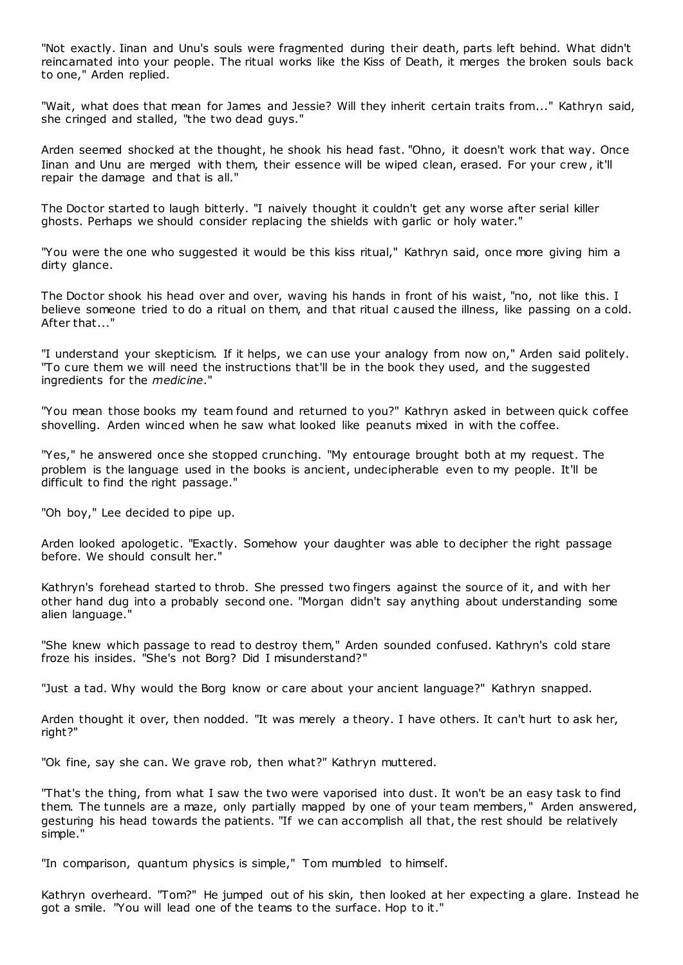"Not exactly. Iinan and Unu's souls were fragmented during their death, parts left behind. What didn't reincarnated into your people. The ritual works like the Kiss of Death, it merges the broken souls back to one," Arden replied.

"Wait, what does that mean for James and Jessie? Will they inherit certain traits from..." Kathryn said, she cringed and stalled, "the two dead guys."

Arden seemed shocked at the thought, he shook his head fast. "Ohno, it doesn't work that way. Once Iinan and Unu are merged with them, their essence will be wiped clean, erased. For your crew , it'll repair the damage and that is all."

The Doctor started to laugh bitterly. "I naively thought it couldn't get any worse after serial killer ghosts. Perhaps we should consider replacing the shields with garlic or holy water."

"You were the one who suggested it would be this kiss ritual," Kathryn said, once more giving him a dirty glance.

The Doctor shook his head over and over, waving his hands in front of his waist, "no, not like this. I believe someone tried to do a ritual on them, and that ritual c aused the illness, like passing on a cold. After that..."

"I understand your skepticism. If it helps, we can use your analogy from now on," Arden said politely. "To cure them we will need the instructions that'll be in the book they used, and the suggested ingredients for the *medicine*."

"You mean those books my team found and returned to you?" Kathryn asked in between quick coffee shovelling. Arden winced when he saw what looked like peanuts mixed in with the coffee.

"Yes," he answered once she stopped crunching. "My entourage brought both at my request. The problem is the language used in the books is ancient, undecipherable even to my people. It'll be difficult to find the right passage."

"Oh boy," Lee decided to pipe up.

Arden looked apologetic. "Exactly. Somehow your daughter was able to decipher the right passage before. We should consult her."

Kathryn's forehead started to throb. She pressed two fingers against the source of it, and with her other hand dug into a probably second one. "Morgan didn't say anything about understanding some alien language."

"She knew which passage to read to destroy them," Arden sounded confused. Kathryn's cold stare froze his insides. "She's not Borg? Did I misunderstand?"

"Just a tad. Why would the Borg know or care about your ancient language?" Kathryn snapped.

Arden thought it over, then nodded. "It was merely a theory. I have others. It can't hurt to ask her, right?"

"Ok fine, say she can. We grave rob, then what?" Kathryn muttered.

"That's the thing, from what I saw the two were vaporised into dust. It won't be an easy task to find them. The tunnels are a maze, only partially mapped by one of your team members," Arden answered, gesturing his head towards the patients. "If we can accomplish all that, the rest should be relatively simple."

"In comparison, quantum physics is simple," Tom mumbled to himself.

Kathryn overheard. "Tom?" He jumped out of his skin, then looked at her expecting a glare. Instead he got a smile. "You will lead one of the teams to the surface. Hop to it."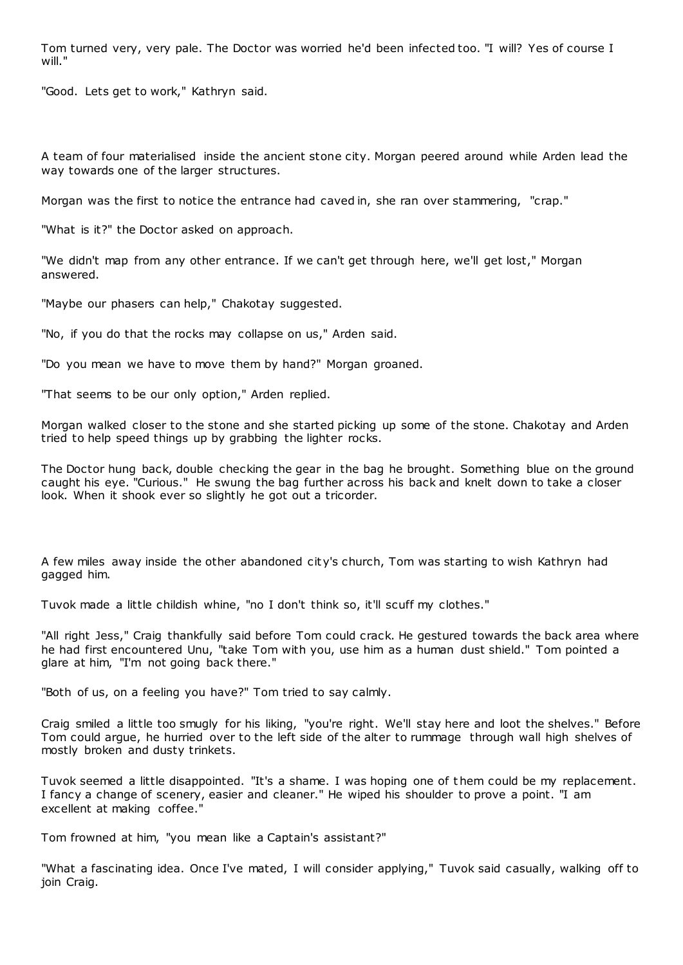Tom turned very, very pale. The Doctor was worried he'd been infected too. "I will? Yes of course I will."

"Good. Lets get to work," Kathryn said.

A team of four materialised inside the ancient stone city. Morgan peered around while Arden lead the way towards one of the larger structures.

Morgan was the first to notice the entrance had caved in, she ran over stammering, "crap."

"What is it?" the Doctor asked on approach.

"We didn't map from any other entrance. If we can't get through here, we'll get lost," Morgan answered.

"Maybe our phasers can help," Chakotay suggested.

"No, if you do that the rocks may collapse on us," Arden said.

"Do you mean we have to move them by hand?" Morgan groaned.

"That seems to be our only option," Arden replied.

Morgan walked closer to the stone and she started picking up some of the stone. Chakotay and Arden tried to help speed things up by grabbing the lighter rocks.

The Doctor hung back, double checking the gear in the bag he brought. Something blue on the ground caught his eye. "Curious." He swung the bag further across his back and knelt down to take a closer look. When it shook ever so slightly he got out a tricorder.

A few miles away inside the other abandoned city's church, Tom was starting to wish Kathryn had gagged him.

Tuvok made a little childish whine, "no I don't think so, it'll scuff my clothes."

"All right Jess," Craig thankfully said before Tom could crack. He gestured towards the back area where he had first encountered Unu, "take Tom with you, use him as a human dust shield." Tom pointed a glare at him, "I'm not going back there."

"Both of us, on a feeling you have?" Tom tried to say calmly.

Craig smiled a little too smugly for his liking, "you're right. We'll stay here and loot the shelves." Before Tom could argue, he hurried over to the left side of the alter to rummage through wall high shelves of mostly broken and dusty trinkets.

Tuvok seemed a little disappointed. "It's a shame. I was hoping one of t hem could be my replacement. I fancy a change of scenery, easier and cleaner." He wiped his shoulder to prove a point. "I am excellent at making coffee."

Tom frowned at him, "you mean like a Captain's assistant?"

"What a fascinating idea. Once I've mated, I will consider applying," Tuvok said casually, walking off to join Craig.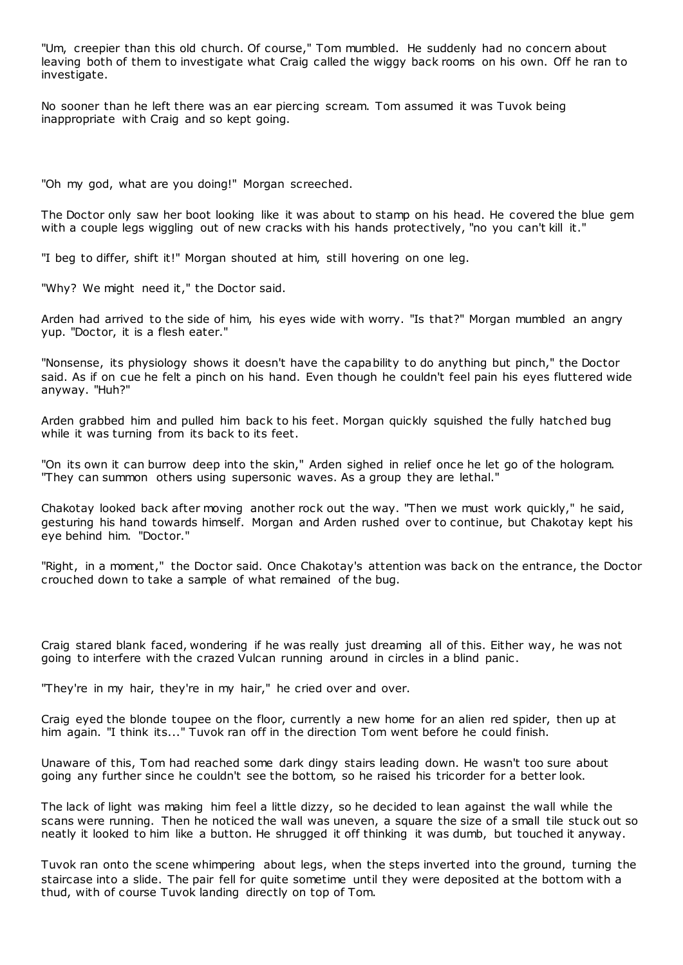"Um, creepier than this old church. Of course," Tom mumbled. He suddenly had no concern about leaving both of them to investigate what Craig called the wiggy back rooms on his own. Off he ran to investigate.

No sooner than he left there was an ear piercing scream. Tom assumed it was Tuvok being inappropriate with Craig and so kept going.

"Oh my god, what are you doing!" Morgan screeched.

The Doctor only saw her boot looking like it was about to stamp on his head. He covered the blue gem with a couple legs wiggling out of new cracks with his hands protectively, "no you can't kill it."

"I beg to differ, shift it!" Morgan shouted at him, still hovering on one leg.

"Why? We might need it," the Doctor said.

Arden had arrived to the side of him, his eyes wide with worry. "Is that?" Morgan mumbled an angry yup. "Doctor, it is a flesh eater."

"Nonsense, its physiology shows it doesn't have the capability to do anything but pinch," the Doctor said. As if on cue he felt a pinch on his hand. Even though he couldn't feel pain his eyes fluttered wide anyway. "Huh?"

Arden grabbed him and pulled him back to his feet. Morgan quickly squished the fully hatched bug while it was turning from its back to its feet.

"On its own it can burrow deep into the skin," Arden sighed in relief once he let go of the hologram. "They can summon others using supersonic waves. As a group they are lethal."

Chakotay looked back after moving another rock out the way. "Then we must work quickly," he said, gesturing his hand towards himself. Morgan and Arden rushed over to continue, but Chakotay kept his eye behind him. "Doctor."

"Right, in a moment," the Doctor said. Once Chakotay's attention was back on the entrance, the Doctor crouched down to take a sample of what remained of the bug.

Craig stared blank faced, wondering if he was really just dreaming all of this. Either way, he was not going to interfere with the crazed Vulcan running around in circles in a blind panic .

"They're in my hair, they're in my hair," he cried over and over.

Craig eyed the blonde toupee on the floor, currently a new home for an alien red spider, then up at him again. "I think its..." Tuvok ran off in the direction Tom went before he could finish.

Unaware of this, Tom had reached some dark dingy stairs leading down. He wasn't too sure about going any further since he couldn't see the bottom, so he raised his tricorder for a better look.

The lack of light was making him feel a little dizzy, so he decided to lean against the wall while the scans were running. Then he noticed the wall was uneven, a square the size of a small tile stuck out so neatly it looked to him like a button. He shrugged it off thinking it was dumb, but touched it anyway.

Tuvok ran onto the scene whimpering about legs, when the steps inverted into the ground, turning the staircase into a slide. The pair fell for quite sometime until they were deposited at the bottom with a thud, with of course Tuvok landing directly on top of Tom.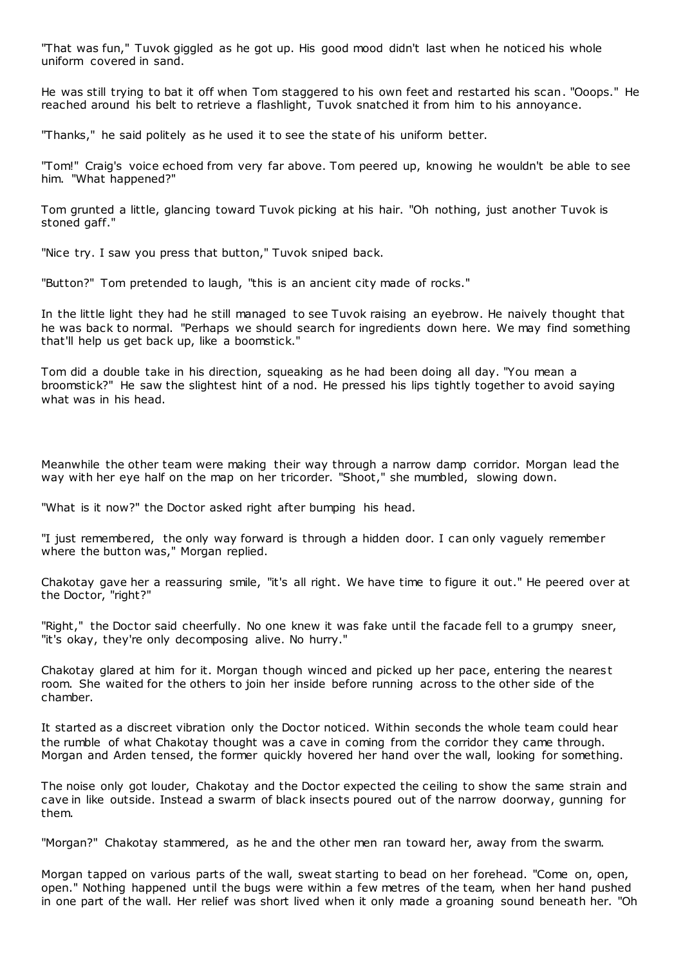"That was fun," Tuvok giggled as he got up. His good mood didn't last when he noticed his whole uniform covered in sand.

He was still trying to bat it off when Tom staggered to his own feet and restarted his scan. "Ooops." He reached around his belt to retrieve a flashlight, Tuvok snatched it from him to his annoyance.

"Thanks," he said politely as he used it to see the state of his uniform better.

"Tom!" Craig's voice echoed from very far above. Tom peered up, knowing he wouldn't be able to see him. "What happened?"

Tom grunted a little, glancing toward Tuvok picking at his hair. "Oh nothing, just another Tuvok is stoned gaff."

"Nice try. I saw you press that button," Tuvok sniped back.

"Button?" Tom pretended to laugh, "this is an ancient city made of rocks."

In the little light they had he still managed to see Tuvok raising an eyebrow. He naively thought that he was back to normal. "Perhaps we should search for ingredients down here. We may find something that'll help us get back up, like a boomstick."

Tom did a double take in his direction, squeaking as he had been doing all day. "You mean a broomstick?" He saw the slightest hint of a nod. He pressed his lips tightly together to avoid saying what was in his head.

Meanwhile the other team were making their way through a narrow damp corridor. Morgan lead the way with her eye half on the map on her tricorder. "Shoot," she mumbled, slowing down.

"What is it now?" the Doctor asked right after bumping his head.

"I just remembered, the only way forward is through a hidden door. I can only vaguely remember where the button was," Morgan replied.

Chakotay gave her a reassuring smile, "it's all right. We have time to figure it out." He peered over at the Doctor, "right?"

"Right," the Doctor said cheerfully. No one knew it was fake until the facade fell to a grumpy sneer, "it's okay, they're only decomposing alive. No hurry."

Chakotay glared at him for it. Morgan though winced and picked up her pace, entering the neares t room. She waited for the others to join her inside before running across to the other side of the chamber.

It started as a discreet vibration only the Doctor noticed. Within seconds the whole team could hear the rumble of what Chakotay thought was a cave in coming from the corridor they came through. Morgan and Arden tensed, the former quickly hovered her hand over the wall, looking for something.

The noise only got louder, Chakotay and the Doctor expected the ceiling to show the same strain and cave in like outside. Instead a swarm of black insects poured out of the narrow doorway, gunning for them.

"Morgan?" Chakotay stammered, as he and the other men ran toward her, away from the swarm.

Morgan tapped on various parts of the wall, sweat starting to bead on her forehead. "Come on, open, open." Nothing happened until the bugs were within a few metres of the team, when her hand pushed in one part of the wall. Her relief was short lived when it only made a groaning sound beneath her. "Oh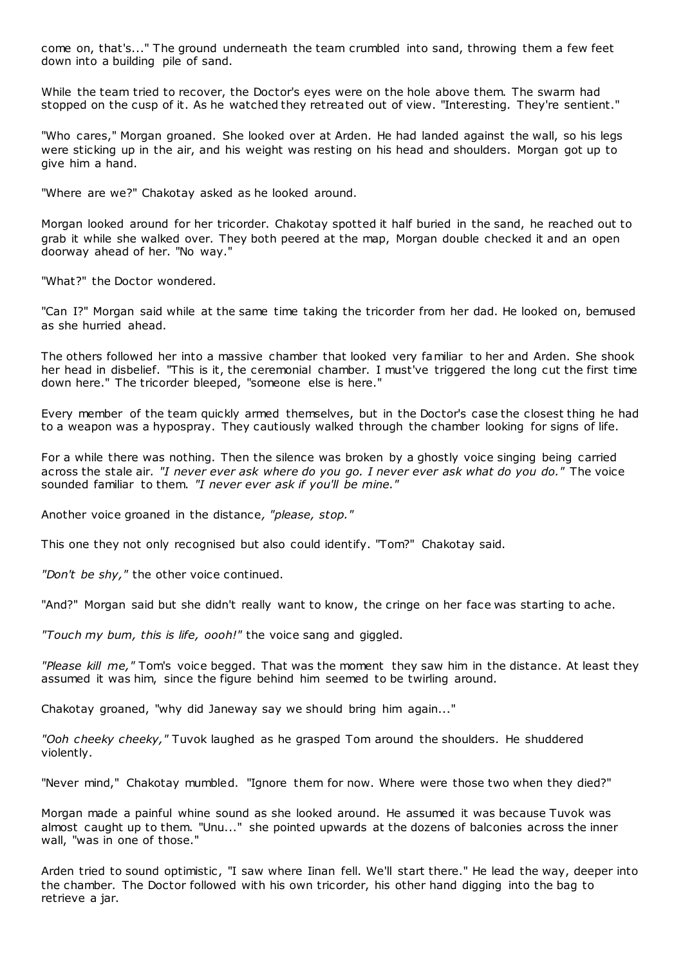come on, that's..." The ground underneath the team crumbled into sand, throwing them a few feet down into a building pile of sand.

While the team tried to recover, the Doctor's eyes were on the hole above them. The swarm had stopped on the cusp of it. As he watched they retreated out of view. "Interesting. They're sentient."

"Who cares," Morgan groaned. She looked over at Arden. He had landed against the wall, so his legs were sticking up in the air, and his weight was resting on his head and shoulders. Morgan got up to give him a hand.

"Where are we?" Chakotay asked as he looked around.

Morgan looked around for her tricorder. Chakotay spotted it half buried in the sand, he reached out to grab it while she walked over. They both peered at the map, Morgan double checked it and an open doorway ahead of her. "No way."

"What?" the Doctor wondered.

"Can I?" Morgan said while at the same time taking the tricorder from her dad. He looked on, bemused as she hurried ahead.

The others followed her into a massive chamber that looked very familiar to her and Arden. She shook her head in disbelief. "This is it, the ceremonial chamber. I must've triggered the long cut the first time down here." The tricorder bleeped, "someone else is here."

Every member of the team quickly armed themselves, but in the Doctor's case the closest thing he had to a weapon was a hypospray. They cautiously walked through the chamber looking for signs of life.

For a while there was nothing. Then the silence was broken by a ghostly voice singing being carried across the stale air. *"I never ever ask where do you go. I never ever ask what do you do."* The voice sounded familiar to them. *"I never ever ask if you'll be mine."*

Another voice groaned in the distance*, "please, stop."*

This one they not only recognised but also could identify. "Tom?" Chakotay said.

*"Don't be shy,"* the other voice continued.

"And?" Morgan said but she didn't really want to know, the cringe on her face was starting to ache.

*"Touch my bum, this is life, oooh!"* the voice sang and giggled.

*"Please kill me,"* Tom's voice begged. That was the moment they saw him in the distance. At least they assumed it was him, since the figure behind him seemed to be twirling around.

Chakotay groaned, "why did Janeway say we should bring him again..."

*"Ooh cheeky cheeky,"* Tuvok laughed as he grasped Tom around the shoulders. He shuddered violently.

"Never mind," Chakotay mumbled. "Ignore them for now. Where were those two when they died?"

Morgan made a painful whine sound as she looked around. He assumed it was because Tuvok was almost caught up to them. "Unu..." she pointed upwards at the dozens of balconies across the inner wall, "was in one of those."

Arden tried to sound optimistic, "I saw where Iinan fell. We'll start there." He lead the way, deeper into the chamber. The Doctor followed with his own tricorder, his other hand digging into the bag to retrieve a jar.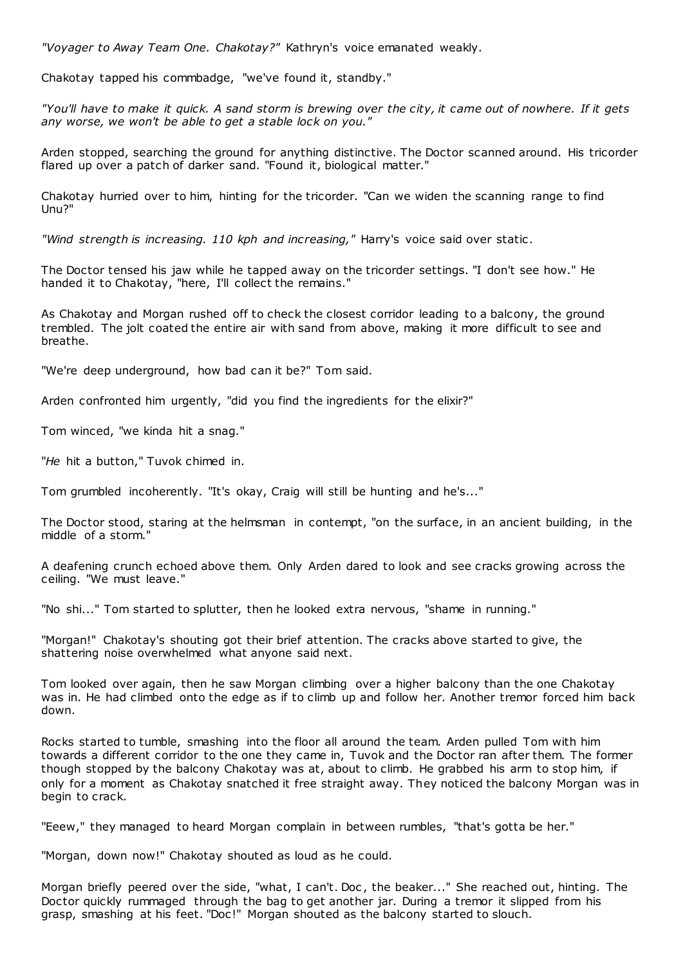*"Voyager to Away Team One. Chakotay?"* Kathryn's voice emanated weakly.

Chakotay tapped his commbadge, "we've found it, standby."

*"You'll have to make it quick. A sand storm is brewing over the city, it came out of nowhere. If it gets any worse, we won't be able to get a stable lock on you."*

Arden stopped, searching the ground for anything distinctive. The Doctor scanned around. His tricorder flared up over a patch of darker sand. "Found it, biological matter."

Chakotay hurried over to him, hinting for the tricorder. "Can we widen the scanning range to find Unu?"

*"Wind strength is increasing. 110 kph and increasing,"* Harry's voice said over static .

The Doctor tensed his jaw while he tapped away on the tricorder settings. "I don't see how." He handed it to Chakotay, "here, I'll collect the remains."

As Chakotay and Morgan rushed off to check the closest corridor leading to a balcony, the ground trembled. The jolt coated the entire air with sand from above, making it more difficult to see and breathe.

"We're deep underground, how bad can it be?" Tom said.

Arden confronted him urgently, "did you find the ingredients for the elixir?"

Tom winced, "we kinda hit a snag."

"*He* hit a button," Tuvok chimed in.

Tom grumbled incoherently. "It's okay, Craig will still be hunting and he's..."

The Doctor stood, staring at the helmsman in contempt, "on the surface, in an ancient building, in the middle of a storm."

A deafening crunch echoed above them. Only Arden dared to look and see cracks growing across the ceiling. "We must leave."

"No shi..." Tom started to splutter, then he looked extra nervous, "shame in running."

"Morgan!" Chakotay's shouting got their brief attention. The cracks above started to give, the shattering noise overwhelmed what anyone said next.

Tom looked over again, then he saw Morgan climbing over a higher balcony than the one Chakotay was in. He had climbed onto the edge as if to climb up and follow her. Another tremor forced him back down.

Rocks started to tumble, smashing into the floor all around the team. Arden pulled Tom with him towards a different corridor to the one they came in, Tuvok and the Doctor ran after them. The former though stopped by the balcony Chakotay was at, about to climb. He grabbed his arm to stop him, if only for a moment as Chakotay snatched it free straight away. They noticed the balcony Morgan was in begin to crack.

"Eeew," they managed to heard Morgan complain in between rumbles, "that's gotta be her."

"Morgan, down now!" Chakotay shouted as loud as he could.

Morgan briefly peered over the side, "what, I can't. Doc , the beaker..." She reached out, hinting. The Doctor quickly rummaged through the bag to get another jar. During a tremor it slipped from his grasp, smashing at his feet. "Doc!" Morgan shouted as the balcony started to slouch.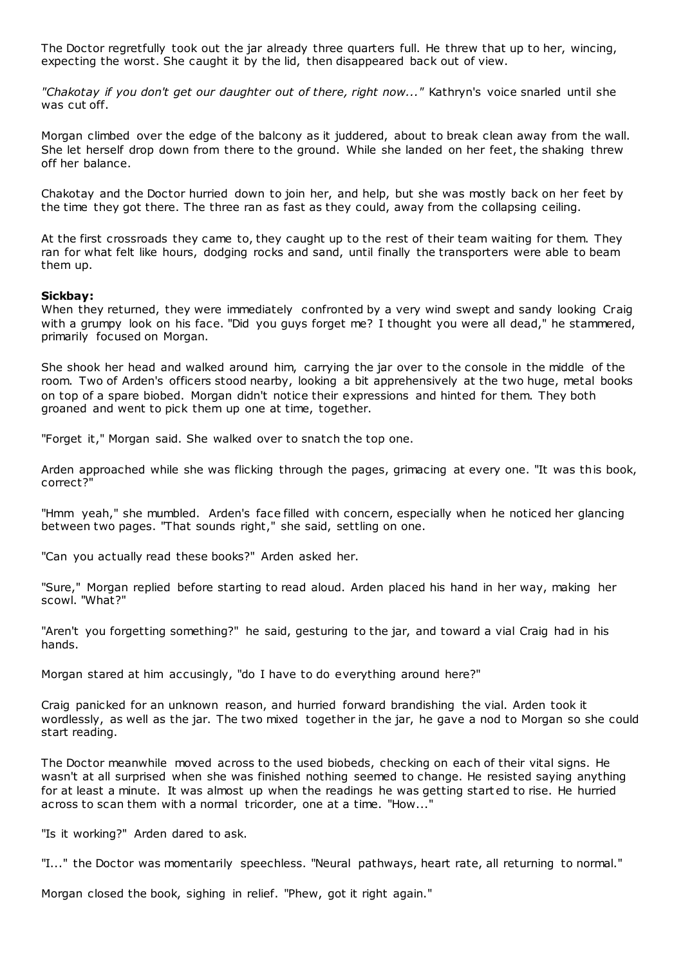The Doctor regretfully took out the jar already three quarters full. He threw that up to her, wincing, expecting the worst. She caught it by the lid, then disappeared back out of view.

*"Chakotay if you don't get our daughter out of there, right now..."* Kathryn's voice snarled until she was cut off.

Morgan climbed over the edge of the balcony as it juddered, about to break clean away from the wall. She let herself drop down from there to the ground. While she landed on her feet, the shaking threw off her balance.

Chakotay and the Doctor hurried down to join her, and help, but she was mostly back on her feet by the time they got there. The three ran as fast as they could, away from the collapsing ceiling.

At the first crossroads they came to, they caught up to the rest of their team waiting for them. They ran for what felt like hours, dodging rocks and sand, until finally the transporters were able to beam them up.

#### **Sickbay:**

When they returned, they were immediately confronted by a very wind swept and sandy looking Craig with a grumpy look on his face. "Did you guys forget me? I thought you were all dead," he stammered, primarily focused on Morgan.

She shook her head and walked around him, carrying the jar over to the console in the middle of the room. Two of Arden's officers stood nearby, looking a bit apprehensively at the two huge, metal books on top of a spare biobed. Morgan didn't notice their expressions and hinted for them. They both groaned and went to pick them up one at time, together.

"Forget it," Morgan said. She walked over to snatch the top one.

Arden approached while she was flicking through the pages, grimacing at every one. "It was this book, correct?"

"Hmm yeah," she mumbled. Arden's face filled with concern, especially when he noticed her glancing between two pages. "That sounds right," she said, settling on one.

"Can you actually read these books?" Arden asked her.

"Sure," Morgan replied before starting to read aloud. Arden placed his hand in her way, making her scowl. "What?"

"Aren't you forgetting something?" he said, gesturing to the jar, and toward a vial Craig had in his hands.

Morgan stared at him accusingly, "do I have to do everything around here?"

Craig panicked for an unknown reason, and hurried forward brandishing the vial. Arden took it wordlessly, as well as the jar. The two mixed together in the jar, he gave a nod to Morgan so she could start reading.

The Doctor meanwhile moved across to the used biobeds, checking on each of their vital signs. He wasn't at all surprised when she was finished nothing seemed to change. He resisted saying anything for at least a minute. It was almost up when the readings he was getting start ed to rise. He hurried across to scan them with a normal tricorder, one at a time. "How..."

"Is it working?" Arden dared to ask.

"I..." the Doctor was momentarily speechless. "Neural pathways, heart rate, all returning to normal."

Morgan closed the book, sighing in relief. "Phew, got it right again."